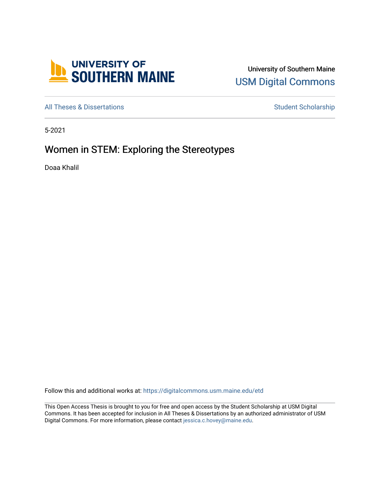

University of Southern Maine [USM Digital Commons](https://digitalcommons.usm.maine.edu/) 

[All Theses & Dissertations](https://digitalcommons.usm.maine.edu/etd) **Student Scholarship** Student Scholarship

5-2021

# Women in STEM: Exploring the Stereotypes

Doaa Khalil

Follow this and additional works at: [https://digitalcommons.usm.maine.edu/etd](https://digitalcommons.usm.maine.edu/etd?utm_source=digitalcommons.usm.maine.edu%2Fetd%2F411&utm_medium=PDF&utm_campaign=PDFCoverPages) 

This Open Access Thesis is brought to you for free and open access by the Student Scholarship at USM Digital Commons. It has been accepted for inclusion in All Theses & Dissertations by an authorized administrator of USM Digital Commons. For more information, please contact [jessica.c.hovey@maine.edu](mailto:ian.fowler@maine.edu).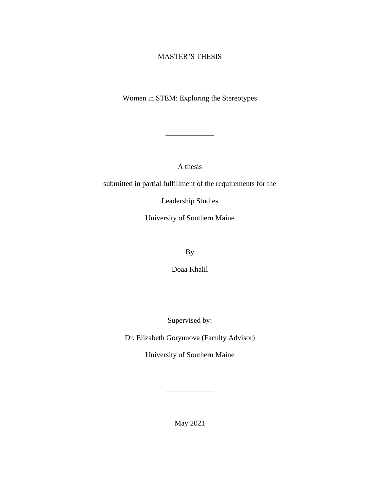## MASTER'S THESIS

Women in STEM: Exploring the Stereotypes

\_\_\_\_\_\_\_\_\_\_\_\_\_

A thesis

submitted in partial fulfillment of the requirements for the

Leadership Studies

University of Southern Maine

By

Doaa Khalil

Supervised by:

Dr. Elizabeth Goryunova (Faculty Advisor)

University of Southern Maine

May 2021

\_\_\_\_\_\_\_\_\_\_\_\_\_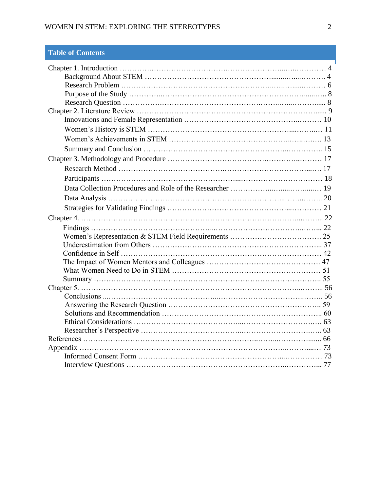## WOMEN IN STEM: EXPLORING THE STEREOTYPES 2

## **Table of Contents**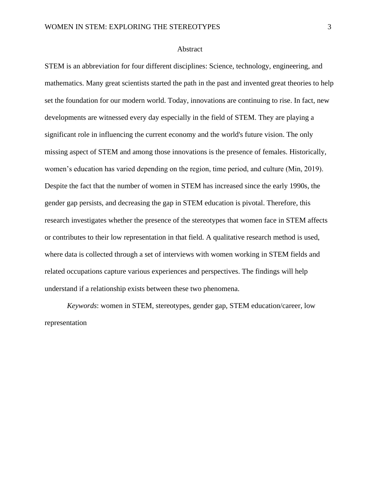#### Abstract

STEM is an abbreviation for four different disciplines: Science, technology, engineering, and mathematics. Many great scientists started the path in the past and invented great theories to help set the foundation for our modern world. Today, innovations are continuing to rise. In fact, new developments are witnessed every day especially in the field of STEM. They are playing a significant role in influencing the current economy and the world's future vision. The only missing aspect of STEM and among those innovations is the presence of females. Historically, women's education has varied depending on the region, time period, and culture (Min, 2019). Despite the fact that the number of women in STEM has increased since the early 1990s, the gender gap persists, and decreasing the gap in STEM education is pivotal. Therefore, this research investigates whether the presence of the stereotypes that women face in STEM affects or contributes to their low representation in that field. A qualitative research method is used, where data is collected through a set of interviews with women working in STEM fields and related occupations capture various experiences and perspectives. The findings will help understand if a relationship exists between these two phenomena.

 *Keywords*: women in STEM, stereotypes, gender gap, STEM education/career, low representation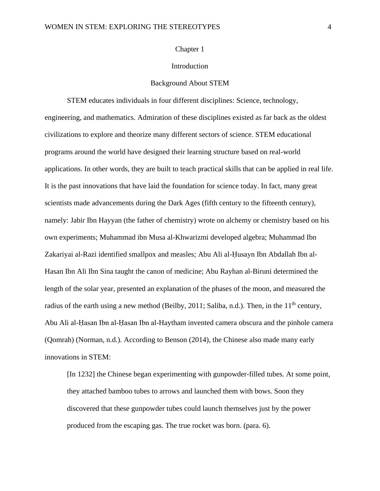#### Chapter 1

## Introduction

#### Background About STEM

STEM educates individuals in four different disciplines: Science, technology, engineering, and mathematics. Admiration of these disciplines existed as far back as the oldest civilizations to explore and theorize many different sectors of science. STEM educational programs around the world have designed their learning structure based on real-world applications. In other words, they are built to teach practical skills that can be applied in real life. It is the past innovations that have laid the foundation for science today. In fact, many great scientists made advancements during the Dark Ages (fifth century to the fifteenth century), namely: Jabir Ibn Hayyan (the father of chemistry) wrote on alchemy or chemistry based on his own experiments; Muhammad ibn Musa al-Khwarizmi developed algebra; Muhammad Ibn Zakariyai al-Razi identified smallpox and measles; Abu Ali al-Ḥusayn Ibn Abdallah Ibn al-Hasan Ibn Ali Ibn Sina taught the canon of medicine; Abu Rayhan al-Biruni determined the length of the solar year, presented an explanation of the phases of the moon, and measured the radius of the earth using a new method (Beilby, 2011; Saliba, n.d.). Then, in the  $11<sup>th</sup>$  century, Abu Ali al-Ḥasan Ibn al-Ḥasan Ibn al-Haytham invented camera obscura and the pinhole camera (Qomrah) (Norman, n.d.). According to Benson (2014), the Chinese also made many early innovations in STEM:

[In 1232] the Chinese began experimenting with gunpowder-filled tubes. At some point, they attached bamboo tubes to arrows and launched them with bows. Soon they discovered that these gunpowder tubes could launch themselves just by the power produced from the escaping gas. The true rocket was born. (para. 6).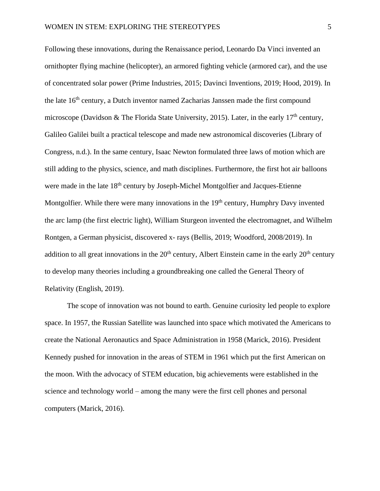Following these innovations, during the Renaissance period, Leonardo Da Vinci invented an ornithopter flying machine (helicopter), an armored fighting vehicle (armored car), and the use of concentrated solar power (Prime Industries, 2015; Davinci Inventions, 2019; Hood, 2019). In the late 16<sup>th</sup> century, a Dutch inventor named Zacharias Janssen made the first compound microscope (Davidson & The Florida State University, 2015). Later, in the early 17<sup>th</sup> century, Galileo Galilei built a practical telescope and made new astronomical discoveries (Library of Congress, n.d.). In the same century, Isaac Newton formulated three laws of motion which are still adding to the physics, science, and math disciplines. Furthermore, the first hot air balloons were made in the late 18<sup>th</sup> century by Joseph-Michel Montgolfier and Jacques-Etienne Montgolfier. While there were many innovations in the  $19<sup>th</sup>$  century, Humphry Davy invented the arc lamp (the first electric light), William Sturgeon invented the electromagnet, and Wilhelm Rontgen, a German physicist, discovered x- rays (Bellis, 2019; Woodford, 2008/2019). In addition to all great innovations in the  $20<sup>th</sup>$  century, Albert Einstein came in the early  $20<sup>th</sup>$  century to develop many theories including a groundbreaking one called the General Theory of Relativity (English, 2019).

The scope of innovation was not bound to earth. Genuine curiosity led people to explore space. In 1957, the Russian Satellite was launched into space which motivated the Americans to create the National Aeronautics and Space Administration in 1958 (Marick, 2016). President Kennedy pushed for innovation in the areas of STEM in 1961 which put the first American on the moon. With the advocacy of STEM education, big achievements were established in the science and technology world – among the many were the first cell phones and personal computers (Marick, 2016).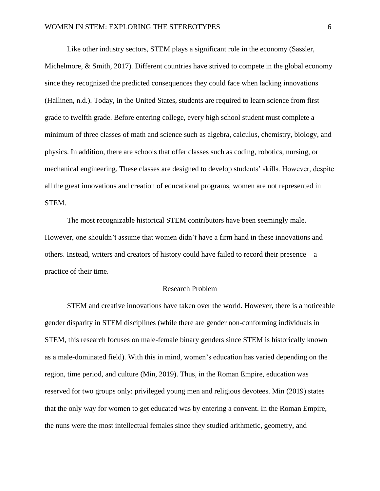Like other industry sectors, STEM plays a significant role in the economy (Sassler, Michelmore, & Smith, 2017). Different countries have strived to compete in the global economy since they recognized the predicted consequences they could face when lacking innovations (Hallinen, n.d.). Today, in the United States, students are required to learn science from first grade to twelfth grade. Before entering college, every high school student must complete a minimum of three classes of math and science such as algebra, calculus, chemistry, biology, and physics. In addition, there are schools that offer classes such as coding, robotics, nursing, or mechanical engineering. These classes are designed to develop students' skills. However, despite all the great innovations and creation of educational programs, women are not represented in STEM.

The most recognizable historical STEM contributors have been seemingly male. However, one shouldn't assume that women didn't have a firm hand in these innovations and others. Instead, writers and creators of history could have failed to record their presence—a practice of their time.

#### Research Problem

STEM and creative innovations have taken over the world. However, there is a noticeable gender disparity in STEM disciplines (while there are gender non-conforming individuals in STEM, this research focuses on male-female binary genders since STEM is historically known as a male-dominated field). With this in mind, women's education has varied depending on the region, time period, and culture (Min, 2019). Thus, in the Roman Empire, education was reserved for two groups only: privileged young men and religious devotees. Min (2019) states that the only way for women to get educated was by entering a convent. In the Roman Empire, the nuns were the most intellectual females since they studied arithmetic, geometry, and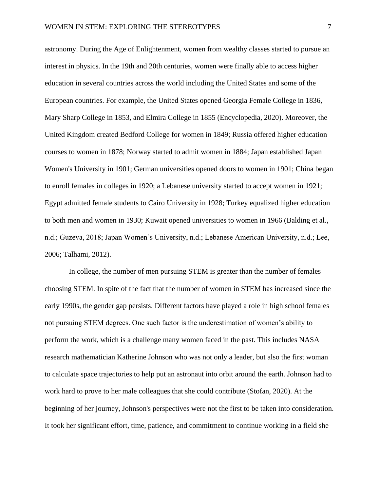astronomy. During the Age of Enlightenment, women from wealthy classes started to pursue an interest in physics. In the 19th and 20th centuries, women were finally able to access higher education in several countries across the world including the United States and some of the European countries. For example, the United States opened Georgia Female College in 1836, Mary Sharp College in 1853, and Elmira College in 1855 (Encyclopedia, 2020). Moreover, the United Kingdom created Bedford College for women in 1849; Russia offered higher education courses to women in 1878; Norway started to admit women in 1884; Japan established Japan Women's University in 1901; German universities opened doors to women in 1901; China began to enroll females in colleges in 1920; a Lebanese university started to accept women in 1921; Egypt admitted female students to Cairo University in 1928; Turkey equalized higher education to both men and women in 1930; Kuwait opened universities to women in 1966 (Balding et al., n.d.; Guzeva, 2018; Japan Women's University, n.d.; Lebanese American University, n.d.; Lee, 2006; Talhami, 2012).

In college, the number of men pursuing STEM is greater than the number of females choosing STEM. In spite of the fact that the number of women in STEM has increased since the early 1990s, the gender gap persists. Different factors have played a role in high school females not pursuing STEM degrees. One such factor is the underestimation of women's ability to perform the work, which is a challenge many women faced in the past. This includes NASA research mathematician Katherine Johnson who was not only a leader, but also the first woman to calculate space trajectories to help put an astronaut into orbit around the earth. Johnson had to work hard to prove to her male colleagues that she could contribute (Stofan, 2020). At the beginning of her journey, Johnson's perspectives were not the first to be taken into consideration. It took her significant effort, time, patience, and commitment to continue working in a field she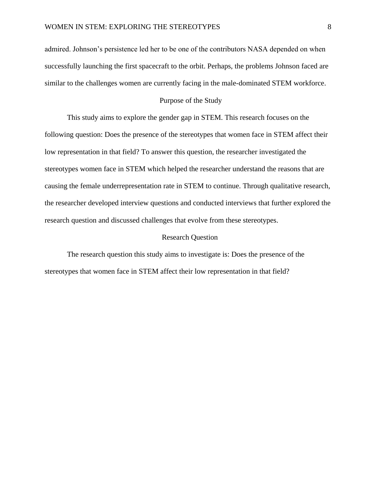admired. Johnson's persistence led her to be one of the contributors NASA depended on when successfully launching the first spacecraft to the orbit. Perhaps, the problems Johnson faced are similar to the challenges women are currently facing in the male-dominated STEM workforce.

## Purpose of the Study

This study aims to explore the gender gap in STEM. This research focuses on the following question: Does the presence of the stereotypes that women face in STEM affect their low representation in that field? To answer this question, the researcher investigated the stereotypes women face in STEM which helped the researcher understand the reasons that are causing the female underrepresentation rate in STEM to continue. Through qualitative research, the researcher developed interview questions and conducted interviews that further explored the research question and discussed challenges that evolve from these stereotypes.

## Research Question

The research question this study aims to investigate is: Does the presence of the stereotypes that women face in STEM affect their low representation in that field?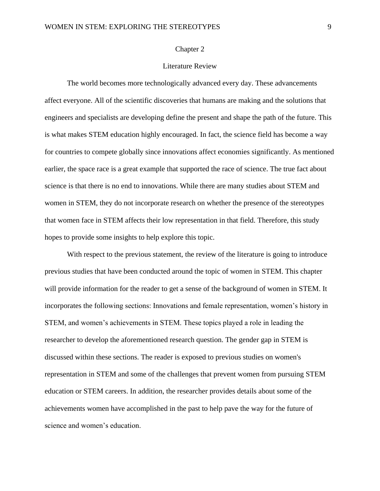#### Chapter 2

## Literature Review

The world becomes more technologically advanced every day. These advancements affect everyone. All of the scientific discoveries that humans are making and the solutions that engineers and specialists are developing define the present and shape the path of the future. This is what makes STEM education highly encouraged. In fact, the science field has become a way for countries to compete globally since innovations affect economies significantly. As mentioned earlier, the space race is a great example that supported the race of science. The true fact about science is that there is no end to innovations. While there are many studies about STEM and women in STEM, they do not incorporate research on whether the presence of the stereotypes that women face in STEM affects their low representation in that field. Therefore, this study hopes to provide some insights to help explore this topic.

With respect to the previous statement, the review of the literature is going to introduce previous studies that have been conducted around the topic of women in STEM. This chapter will provide information for the reader to get a sense of the background of women in STEM. It incorporates the following sections: Innovations and female representation, women's history in STEM, and women's achievements in STEM. These topics played a role in leading the researcher to develop the aforementioned research question. The gender gap in STEM is discussed within these sections. The reader is exposed to previous studies on women's representation in STEM and some of the challenges that prevent women from pursuing STEM education or STEM careers. In addition, the researcher provides details about some of the achievements women have accomplished in the past to help pave the way for the future of science and women's education.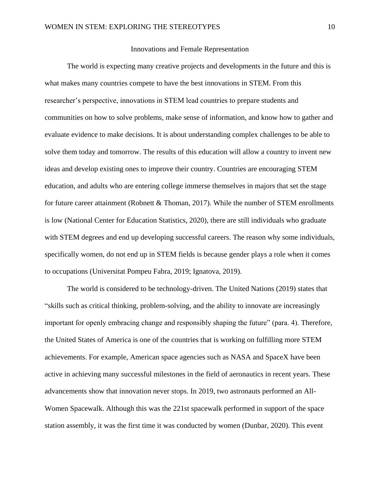#### Innovations and Female Representation

The world is expecting many creative projects and developments in the future and this is what makes many countries compete to have the best innovations in STEM. From this researcher's perspective, innovations in STEM lead countries to prepare students and communities on how to solve problems, make sense of information, and know how to gather and evaluate evidence to make decisions. It is about understanding complex challenges to be able to solve them today and tomorrow. The results of this education will allow a country to invent new ideas and develop existing ones to improve their country. Countries are encouraging STEM education, and adults who are entering college immerse themselves in majors that set the stage for future career attainment (Robnett & Thoman, 2017). While the number of STEM enrollments is low (National Center for Education Statistics, 2020), there are still individuals who graduate with STEM degrees and end up developing successful careers. The reason why some individuals, specifically women, do not end up in STEM fields is because gender plays a role when it comes to occupations (Universitat Pompeu Fabra, 2019; Ignatova, 2019).

The world is considered to be technology-driven. The United Nations (2019) states that "skills such as critical thinking, problem-solving, and the ability to innovate are increasingly important for openly embracing change and responsibly shaping the future" (para. 4). Therefore, the United States of America is one of the countries that is working on fulfilling more STEM achievements. For example, American space agencies such as NASA and SpaceX have been active in achieving many successful milestones in the field of aeronautics in recent years. These advancements show that innovation never stops. In 2019, two astronauts performed an All-Women Spacewalk. Although this was the 221st spacewalk performed in support of the space station assembly, it was the first time it was conducted by women (Dunbar, 2020). This event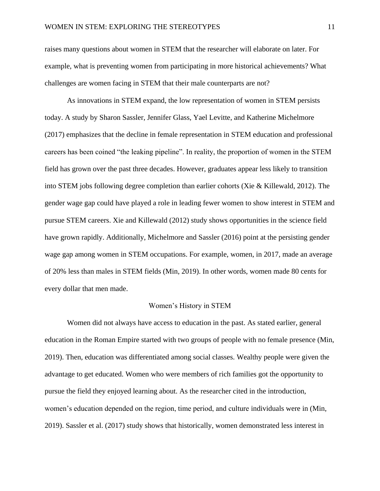raises many questions about women in STEM that the researcher will elaborate on later. For example, what is preventing women from participating in more historical achievements? What challenges are women facing in STEM that their male counterparts are not?

As innovations in STEM expand, the low representation of women in STEM persists today. A study by Sharon Sassler, Jennifer Glass, Yael Levitte, and Katherine Michelmore (2017) emphasizes that the decline in female representation in STEM education and professional careers has been coined "the leaking pipeline". In reality, the proportion of women in the STEM field has grown over the past three decades. However, graduates appear less likely to transition into STEM jobs following degree completion than earlier cohorts (Xie & Killewald, 2012). The gender wage gap could have played a role in leading fewer women to show interest in STEM and pursue STEM careers. Xie and Killewald (2012) study shows opportunities in the science field have grown rapidly. Additionally, Michelmore and Sassler (2016) point at the persisting gender wage gap among women in STEM occupations. For example, women, in 2017, made an average of 20% less than males in STEM fields (Min, 2019). In other words, women made 80 cents for every dollar that men made.

#### Women's History in STEM

Women did not always have access to education in the past. As stated earlier, general education in the Roman Empire started with two groups of people with no female presence (Min, 2019). Then, education was differentiated among social classes. Wealthy people were given the advantage to get educated. Women who were members of rich families got the opportunity to pursue the field they enjoyed learning about. As the researcher cited in the introduction, women's education depended on the region, time period, and culture individuals were in (Min, 2019). Sassler et al. (2017) study shows that historically, women demonstrated less interest in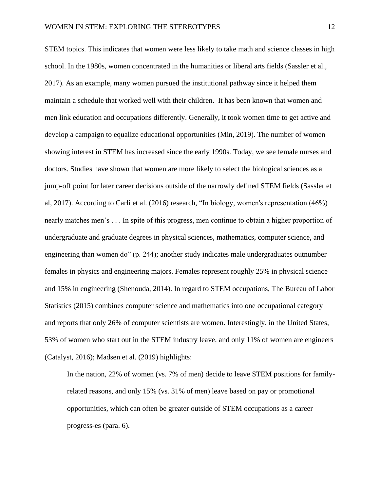STEM topics. This indicates that women were less likely to take math and science classes in high school. In the 1980s, women concentrated in the humanities or liberal arts fields (Sassler et al., 2017). As an example, many women pursued the institutional pathway since it helped them maintain a schedule that worked well with their children. It has been known that women and men link education and occupations differently. Generally, it took women time to get active and develop a campaign to equalize educational opportunities (Min, 2019). The number of women showing interest in STEM has increased since the early 1990s. Today, we see female nurses and doctors. Studies have shown that women are more likely to select the biological sciences as a jump-off point for later career decisions outside of the narrowly defined STEM fields (Sassler et al, 2017). According to Carli et al. (2016) research, "In biology, women's representation (46%) nearly matches men's . . . In spite of this progress, men continue to obtain a higher proportion of undergraduate and graduate degrees in physical sciences, mathematics, computer science, and engineering than women do" (p. 244); another study indicates male undergraduates outnumber females in physics and engineering majors. Females represent roughly 25% in physical science and 15% in engineering (Shenouda, 2014). In regard to STEM occupations, The Bureau of Labor Statistics (2015) combines computer science and mathematics into one occupational category and reports that only 26% of computer scientists are women. Interestingly, in the United States, 53% of women who start out in the STEM industry leave, and only 11% of women are engineers (Catalyst, 2016); Madsen et al. (2019) highlights:

In the nation, 22% of women (vs. 7% of men) decide to leave STEM positions for familyrelated reasons, and only 15% (vs. 31% of men) leave based on pay or promotional opportunities, which can often be greater outside of STEM occupations as a career progress-es (para. 6).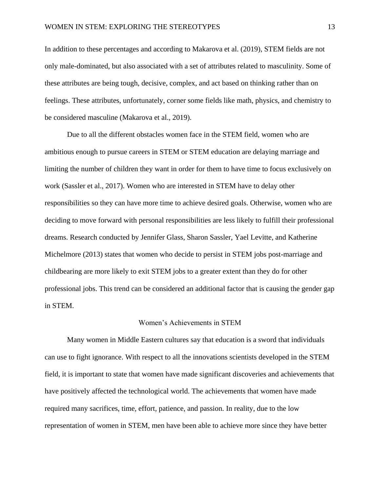In addition to these percentages and according to Makarova et al. (2019), STEM fields are not only male-dominated, but also associated with a set of attributes related to masculinity. Some of these attributes are being tough, decisive, complex, and act based on thinking rather than on feelings. These attributes, unfortunately, corner some fields like math, physics, and chemistry to be considered masculine (Makarova et al., 2019).

Due to all the different obstacles women face in the STEM field, women who are ambitious enough to pursue careers in STEM or STEM education are delaying marriage and limiting the number of children they want in order for them to have time to focus exclusively on work (Sassler et al., 2017). Women who are interested in STEM have to delay other responsibilities so they can have more time to achieve desired goals. Otherwise, women who are deciding to move forward with personal responsibilities are less likely to fulfill their professional dreams. Research conducted by Jennifer Glass, Sharon Sassler, Yael Levitte, and Katherine Michelmore (2013) states that women who decide to persist in STEM jobs post-marriage and childbearing are more likely to exit STEM jobs to a greater extent than they do for other professional jobs. This trend can be considered an additional factor that is causing the gender gap in STEM.

#### Women's Achievements in STEM

Many women in Middle Eastern cultures say that education is a sword that individuals can use to fight ignorance. With respect to all the innovations scientists developed in the STEM field, it is important to state that women have made significant discoveries and achievements that have positively affected the technological world. The achievements that women have made required many sacrifices, time, effort, patience, and passion. In reality, due to the low representation of women in STEM, men have been able to achieve more since they have better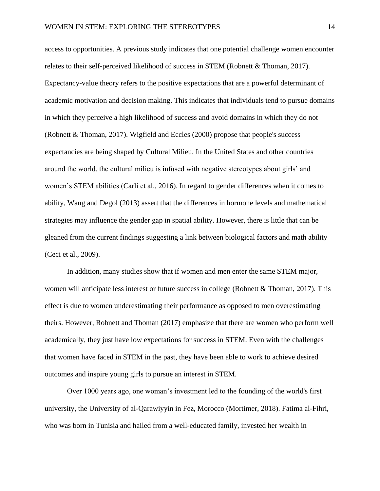access to opportunities. A previous study indicates that one potential challenge women encounter relates to their self-perceived likelihood of success in STEM (Robnett & Thoman, 2017). Expectancy-value theory refers to the positive expectations that are a powerful determinant of academic motivation and decision making. This indicates that individuals tend to pursue domains in which they perceive a high likelihood of success and avoid domains in which they do not (Robnett & Thoman, 2017). Wigfield and Eccles (2000) propose that people's success expectancies are being shaped by Cultural Milieu. In the United States and other countries around the world, the cultural milieu is infused with negative stereotypes about girls' and women's STEM abilities (Carli et al., 2016). In regard to gender differences when it comes to ability, Wang and Degol (2013) assert that the differences in hormone levels and mathematical strategies may influence the gender gap in spatial ability. However, there is little that can be gleaned from the current findings suggesting a link between biological factors and math ability (Ceci et al., 2009).

In addition, many studies show that if women and men enter the same STEM major, women will anticipate less interest or future success in college (Robnett & Thoman, 2017). This effect is due to women underestimating their performance as opposed to men overestimating theirs. However, Robnett and Thoman (2017) emphasize that there are women who perform well academically, they just have low expectations for success in STEM. Even with the challenges that women have faced in STEM in the past, they have been able to work to achieve desired outcomes and inspire young girls to pursue an interest in STEM.

Over 1000 years ago, one woman's investment led to the founding of the world's first university, the University of al-Qarawiyyin in Fez, Morocco (Mortimer, 2018). Fatima al-Fihri, who was born in Tunisia and hailed from a well-educated family, invested her wealth in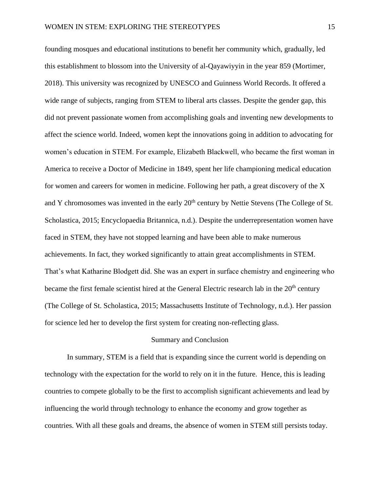founding mosques and educational institutions to benefit her community which, gradually, led this establishment to blossom into the University of al-Qayawiyyin in the year 859 (Mortimer, 2018). This university was recognized by UNESCO and Guinness World Records. It offered a wide range of subjects, ranging from STEM to liberal arts classes. Despite the gender gap, this did not prevent passionate women from accomplishing goals and inventing new developments to affect the science world. Indeed, women kept the innovations going in addition to advocating for women's education in STEM. For example, Elizabeth Blackwell, who became the first woman in America to receive a Doctor of Medicine in 1849, spent her life championing medical education for women and careers for women in medicine. Following her path, a great discovery of the X and Y chromosomes was invented in the early 20<sup>th</sup> century by Nettie Stevens (The College of St. Scholastica, 2015; Encyclopaedia Britannica, n.d.). Despite the underrepresentation women have faced in STEM, they have not stopped learning and have been able to make numerous achievements. In fact, they worked significantly to attain great accomplishments in STEM. That's what Katharine Blodgett did. She was an expert in surface chemistry and engineering who became the first female scientist hired at the General Electric research lab in the 20<sup>th</sup> century (The College of St. Scholastica, 2015; Massachusetts Institute of Technology, n.d.). Her passion for science led her to develop the first system for creating non-reflecting glass.

#### Summary and Conclusion

In summary, STEM is a field that is expanding since the current world is depending on technology with the expectation for the world to rely on it in the future. Hence, this is leading countries to compete globally to be the first to accomplish significant achievements and lead by influencing the world through technology to enhance the economy and grow together as countries. With all these goals and dreams, the absence of women in STEM still persists today.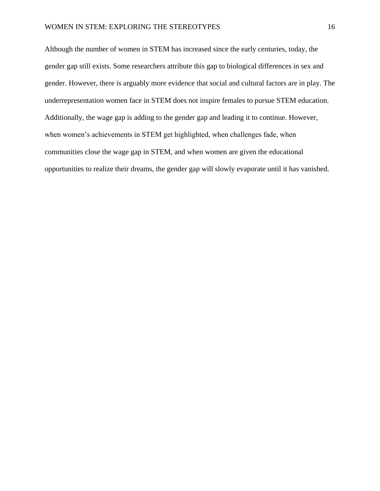Although the number of women in STEM has increased since the early centuries, today, the gender gap still exists. Some researchers attribute this gap to biological differences in sex and gender. However, there is arguably more evidence that social and cultural factors are in play. The underrepresentation women face in STEM does not inspire females to pursue STEM education. Additionally, the wage gap is adding to the gender gap and leading it to continue. However, when women's achievements in STEM get highlighted, when challenges fade, when communities close the wage gap in STEM, and when women are given the educational opportunities to realize their dreams, the gender gap will slowly evaporate until it has vanished.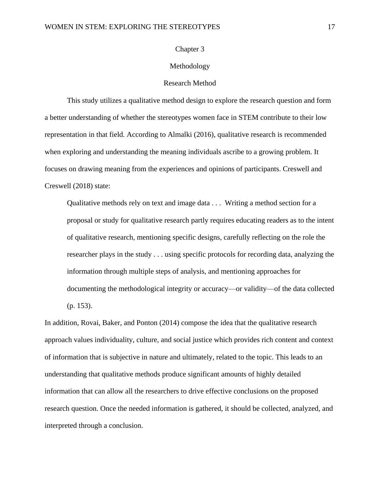#### Chapter 3

#### Methodology

#### Research Method

This study utilizes a qualitative method design to explore the research question and form a better understanding of whether the stereotypes women face in STEM contribute to their low representation in that field. According to Almalki (2016), qualitative research is recommended when exploring and understanding the meaning individuals ascribe to a growing problem. It focuses on drawing meaning from the experiences and opinions of participants. Creswell and Creswell (2018) state:

Qualitative methods rely on text and image data . . . Writing a method section for a proposal or study for qualitative research partly requires educating readers as to the intent of qualitative research, mentioning specific designs, carefully reflecting on the role the researcher plays in the study . . . using specific protocols for recording data, analyzing the information through multiple steps of analysis, and mentioning approaches for documenting the methodological integrity or accuracy—or validity—of the data collected (p. 153).

In addition, Rovai, Baker, and Ponton (2014) compose the idea that the qualitative research approach values individuality, culture, and social justice which provides rich content and context of information that is subjective in nature and ultimately, related to the topic. This leads to an understanding that qualitative methods produce significant amounts of highly detailed information that can allow all the researchers to drive effective conclusions on the proposed research question. Once the needed information is gathered, it should be collected, analyzed, and interpreted through a conclusion.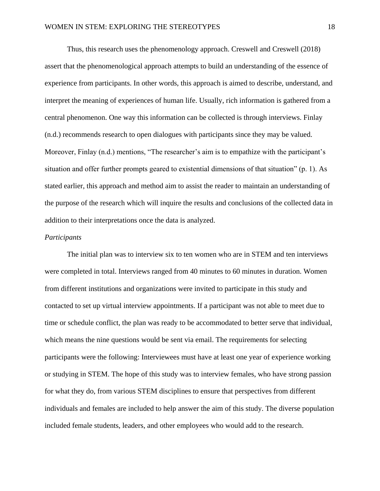Thus, this research uses the phenomenology approach. Creswell and Creswell (2018) assert that the phenomenological approach attempts to build an understanding of the essence of experience from participants. In other words, this approach is aimed to describe, understand, and interpret the meaning of experiences of human life. Usually, rich information is gathered from a central phenomenon. One way this information can be collected is through interviews. Finlay (n.d.) recommends research to open dialogues with participants since they may be valued. Moreover, Finlay (n.d.) mentions, "The researcher's aim is to empathize with the participant's situation and offer further prompts geared to existential dimensions of that situation" (p. 1). As stated earlier, this approach and method aim to assist the reader to maintain an understanding of the purpose of the research which will inquire the results and conclusions of the collected data in addition to their interpretations once the data is analyzed.

#### *Participants*

The initial plan was to interview six to ten women who are in STEM and ten interviews were completed in total. Interviews ranged from 40 minutes to 60 minutes in duration. Women from different institutions and organizations were invited to participate in this study and contacted to set up virtual interview appointments. If a participant was not able to meet due to time or schedule conflict, the plan was ready to be accommodated to better serve that individual, which means the nine questions would be sent via email. The requirements for selecting participants were the following: Interviewees must have at least one year of experience working or studying in STEM. The hope of this study was to interview females, who have strong passion for what they do, from various STEM disciplines to ensure that perspectives from different individuals and females are included to help answer the aim of this study. The diverse population included female students, leaders, and other employees who would add to the research.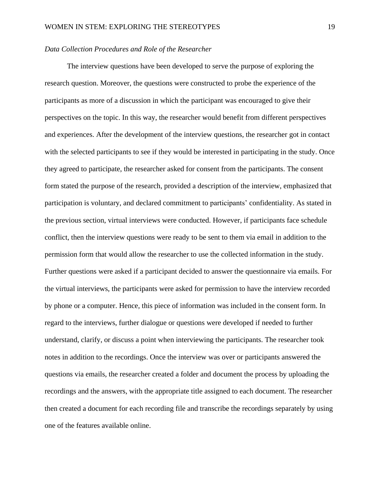#### *Data Collection Procedures and Role of the Researcher*

The interview questions have been developed to serve the purpose of exploring the research question. Moreover, the questions were constructed to probe the experience of the participants as more of a discussion in which the participant was encouraged to give their perspectives on the topic. In this way, the researcher would benefit from different perspectives and experiences. After the development of the interview questions, the researcher got in contact with the selected participants to see if they would be interested in participating in the study. Once they agreed to participate, the researcher asked for consent from the participants. The consent form stated the purpose of the research, provided a description of the interview, emphasized that participation is voluntary, and declared commitment to participants' confidentiality. As stated in the previous section, virtual interviews were conducted. However, if participants face schedule conflict, then the interview questions were ready to be sent to them via email in addition to the permission form that would allow the researcher to use the collected information in the study. Further questions were asked if a participant decided to answer the questionnaire via emails. For the virtual interviews, the participants were asked for permission to have the interview recorded by phone or a computer. Hence, this piece of information was included in the consent form. In regard to the interviews, further dialogue or questions were developed if needed to further understand, clarify, or discuss a point when interviewing the participants. The researcher took notes in addition to the recordings. Once the interview was over or participants answered the questions via emails, the researcher created a folder and document the process by uploading the recordings and the answers, with the appropriate title assigned to each document. The researcher then created a document for each recording file and transcribe the recordings separately by using one of the features available online.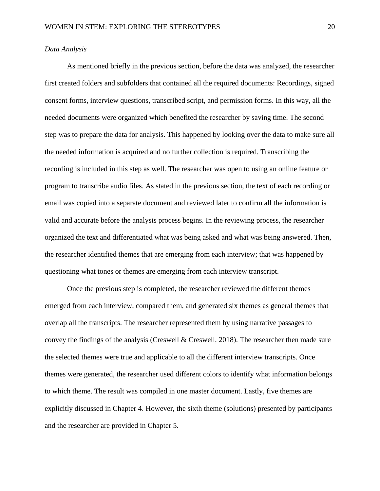#### *Data Analysis*

As mentioned briefly in the previous section, before the data was analyzed, the researcher first created folders and subfolders that contained all the required documents: Recordings, signed consent forms, interview questions, transcribed script, and permission forms. In this way, all the needed documents were organized which benefited the researcher by saving time. The second step was to prepare the data for analysis. This happened by looking over the data to make sure all the needed information is acquired and no further collection is required. Transcribing the recording is included in this step as well. The researcher was open to using an online feature or program to transcribe audio files. As stated in the previous section, the text of each recording or email was copied into a separate document and reviewed later to confirm all the information is valid and accurate before the analysis process begins. In the reviewing process, the researcher organized the text and differentiated what was being asked and what was being answered. Then, the researcher identified themes that are emerging from each interview; that was happened by questioning what tones or themes are emerging from each interview transcript.

Once the previous step is completed, the researcher reviewed the different themes emerged from each interview, compared them, and generated six themes as general themes that overlap all the transcripts. The researcher represented them by using narrative passages to convey the findings of the analysis (Creswell & Creswell, 2018). The researcher then made sure the selected themes were true and applicable to all the different interview transcripts. Once themes were generated, the researcher used different colors to identify what information belongs to which theme. The result was compiled in one master document. Lastly, five themes are explicitly discussed in Chapter 4. However, the sixth theme (solutions) presented by participants and the researcher are provided in Chapter 5.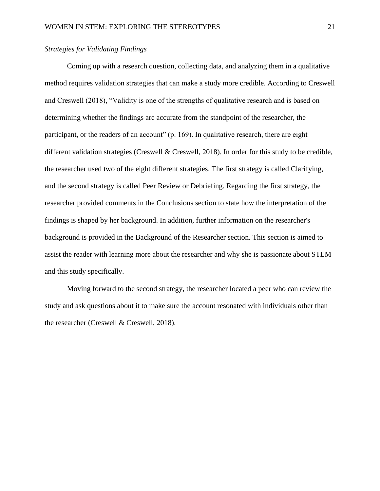## *Strategies for Validating Findings*

Coming up with a research question, collecting data, and analyzing them in a qualitative method requires validation strategies that can make a study more credible. According to Creswell and Creswell (2018), "Validity is one of the strengths of qualitative research and is based on determining whether the findings are accurate from the standpoint of the researcher, the participant, or the readers of an account" (p. 169). In qualitative research, there are eight different validation strategies (Creswell & Creswell, 2018). In order for this study to be credible, the researcher used two of the eight different strategies. The first strategy is called Clarifying, and the second strategy is called Peer Review or Debriefing. Regarding the first strategy, the researcher provided comments in the Conclusions section to state how the interpretation of the findings is shaped by her background. In addition, further information on the researcher's background is provided in the Background of the Researcher section. This section is aimed to assist the reader with learning more about the researcher and why she is passionate about STEM and this study specifically.

Moving forward to the second strategy, the researcher located a peer who can review the study and ask questions about it to make sure the account resonated with individuals other than the researcher (Creswell & Creswell, 2018).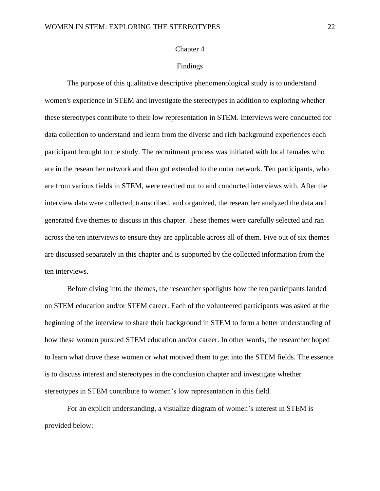#### Chapter 4

#### Findings

The purpose of this qualitative descriptive phenomenological study is to understand women's experience in STEM and investigate the stereotypes in addition to exploring whether these stereotypes contribute to their low representation in STEM. Interviews were conducted for data collection to understand and learn from the diverse and rich background experiences each participant brought to the study. The recruitment process was initiated with local females who are in the researcher network and then got extended to the outer network. Ten participants, who are from various fields in STEM, were reached out to and conducted interviews with. After the interview data were collected, transcribed, and organized, the researcher analyzed the data and generated five themes to discuss in this chapter. These themes were carefully selected and ran across the ten interviews to ensure they are applicable across all of them. Five out of six themes are discussed separately in this chapter and is supported by the collected information from the ten interviews.

Before diving into the themes, the researcher spotlights how the ten participants landed on STEM education and/or STEM career. Each of the volunteered participants was asked at the beginning of the interview to share their background in STEM to form a better understanding of how these women pursued STEM education and/or career. In other words, the researcher hoped to learn what drove these women or what motived them to get into the STEM fields. The essence is to discuss interest and stereotypes in the conclusion chapter and investigate whether stereotypes in STEM contribute to women's low representation in this field.

For an explicit understanding, a visualize diagram of women's interest in STEM is provided below: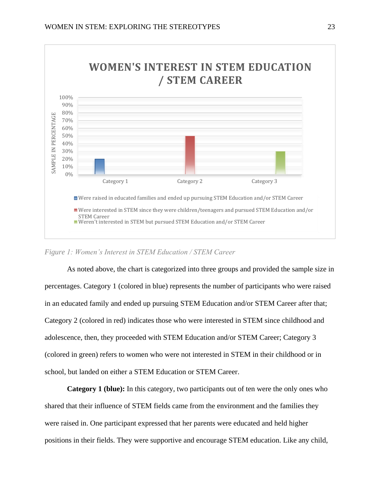

## *Figure 1: Women's Interest in STEM Education / STEM Career*

As noted above, the chart is categorized into three groups and provided the sample size in percentages. Category 1 (colored in blue) represents the number of participants who were raised in an educated family and ended up pursuing STEM Education and/or STEM Career after that; Category 2 (colored in red) indicates those who were interested in STEM since childhood and adolescence, then, they proceeded with STEM Education and/or STEM Career; Category 3 (colored in green) refers to women who were not interested in STEM in their childhood or in school, but landed on either a STEM Education or STEM Career.

**Category 1 (blue):** In this category, two participants out of ten were the only ones who shared that their influence of STEM fields came from the environment and the families they were raised in. One participant expressed that her parents were educated and held higher positions in their fields. They were supportive and encourage STEM education. Like any child,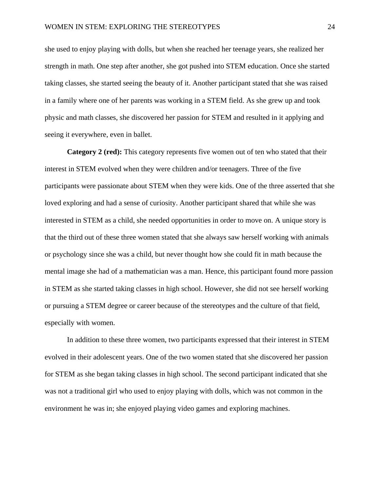she used to enjoy playing with dolls, but when she reached her teenage years, she realized her strength in math. One step after another, she got pushed into STEM education. Once she started taking classes, she started seeing the beauty of it. Another participant stated that she was raised in a family where one of her parents was working in a STEM field. As she grew up and took physic and math classes, she discovered her passion for STEM and resulted in it applying and seeing it everywhere, even in ballet.

**Category 2 (red):** This category represents five women out of ten who stated that their interest in STEM evolved when they were children and/or teenagers. Three of the five participants were passionate about STEM when they were kids. One of the three asserted that she loved exploring and had a sense of curiosity. Another participant shared that while she was interested in STEM as a child, she needed opportunities in order to move on. A unique story is that the third out of these three women stated that she always saw herself working with animals or psychology since she was a child, but never thought how she could fit in math because the mental image she had of a mathematician was a man. Hence, this participant found more passion in STEM as she started taking classes in high school. However, she did not see herself working or pursuing a STEM degree or career because of the stereotypes and the culture of that field, especially with women.

In addition to these three women, two participants expressed that their interest in STEM evolved in their adolescent years. One of the two women stated that she discovered her passion for STEM as she began taking classes in high school. The second participant indicated that she was not a traditional girl who used to enjoy playing with dolls, which was not common in the environment he was in; she enjoyed playing video games and exploring machines.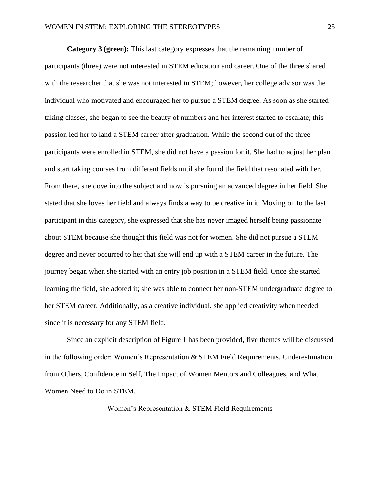**Category 3 (green):** This last category expresses that the remaining number of participants (three) were not interested in STEM education and career. One of the three shared with the researcher that she was not interested in STEM; however, her college advisor was the individual who motivated and encouraged her to pursue a STEM degree. As soon as she started taking classes, she began to see the beauty of numbers and her interest started to escalate; this passion led her to land a STEM career after graduation. While the second out of the three participants were enrolled in STEM, she did not have a passion for it. She had to adjust her plan and start taking courses from different fields until she found the field that resonated with her. From there, she dove into the subject and now is pursuing an advanced degree in her field. She stated that she loves her field and always finds a way to be creative in it. Moving on to the last participant in this category, she expressed that she has never imaged herself being passionate about STEM because she thought this field was not for women. She did not pursue a STEM degree and never occurred to her that she will end up with a STEM career in the future. The journey began when she started with an entry job position in a STEM field. Once she started learning the field, she adored it; she was able to connect her non-STEM undergraduate degree to her STEM career. Additionally, as a creative individual, she applied creativity when needed since it is necessary for any STEM field.

Since an explicit description of Figure 1 has been provided, five themes will be discussed in the following order: Women's Representation & STEM Field Requirements, Underestimation from Others, Confidence in Self, The Impact of Women Mentors and Colleagues, and What Women Need to Do in STEM.

Women's Representation & STEM Field Requirements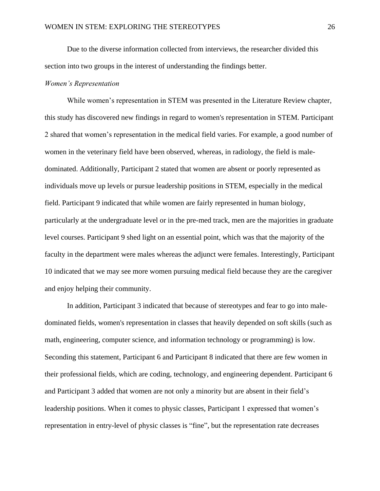Due to the diverse information collected from interviews, the researcher divided this section into two groups in the interest of understanding the findings better.

#### *Women's Representation*

While women's representation in STEM was presented in the Literature Review chapter, this study has discovered new findings in regard to women's representation in STEM. Participant 2 shared that women's representation in the medical field varies. For example, a good number of women in the veterinary field have been observed, whereas, in radiology, the field is maledominated. Additionally, Participant 2 stated that women are absent or poorly represented as individuals move up levels or pursue leadership positions in STEM, especially in the medical field. Participant 9 indicated that while women are fairly represented in human biology, particularly at the undergraduate level or in the pre-med track, men are the majorities in graduate level courses. Participant 9 shed light on an essential point, which was that the majority of the faculty in the department were males whereas the adjunct were females. Interestingly, Participant 10 indicated that we may see more women pursuing medical field because they are the caregiver and enjoy helping their community.

In addition, Participant 3 indicated that because of stereotypes and fear to go into maledominated fields, women's representation in classes that heavily depended on soft skills (such as math, engineering, computer science, and information technology or programming) is low. Seconding this statement, Participant 6 and Participant 8 indicated that there are few women in their professional fields, which are coding, technology, and engineering dependent. Participant 6 and Participant 3 added that women are not only a minority but are absent in their field's leadership positions. When it comes to physic classes, Participant 1 expressed that women's representation in entry-level of physic classes is "fine", but the representation rate decreases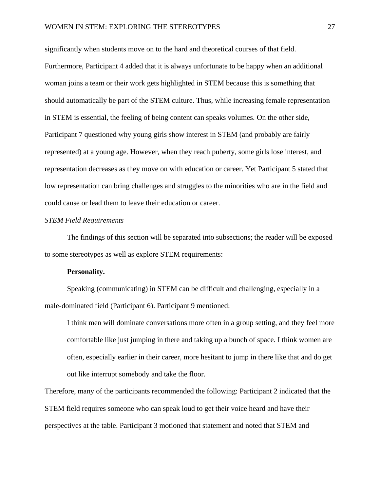significantly when students move on to the hard and theoretical courses of that field. Furthermore, Participant 4 added that it is always unfortunate to be happy when an additional woman joins a team or their work gets highlighted in STEM because this is something that should automatically be part of the STEM culture. Thus, while increasing female representation in STEM is essential, the feeling of being content can speaks volumes. On the other side, Participant 7 questioned why young girls show interest in STEM (and probably are fairly represented) at a young age. However, when they reach puberty, some girls lose interest, and representation decreases as they move on with education or career. Yet Participant 5 stated that low representation can bring challenges and struggles to the minorities who are in the field and could cause or lead them to leave their education or career.

#### *STEM Field Requirements*

The findings of this section will be separated into subsections; the reader will be exposed to some stereotypes as well as explore STEM requirements:

#### **Personality.**

Speaking (communicating) in STEM can be difficult and challenging, especially in a male-dominated field (Participant 6). Participant 9 mentioned:

I think men will dominate conversations more often in a group setting, and they feel more comfortable like just jumping in there and taking up a bunch of space. I think women are often, especially earlier in their career, more hesitant to jump in there like that and do get out like interrupt somebody and take the floor.

Therefore, many of the participants recommended the following: Participant 2 indicated that the STEM field requires someone who can speak loud to get their voice heard and have their perspectives at the table. Participant 3 motioned that statement and noted that STEM and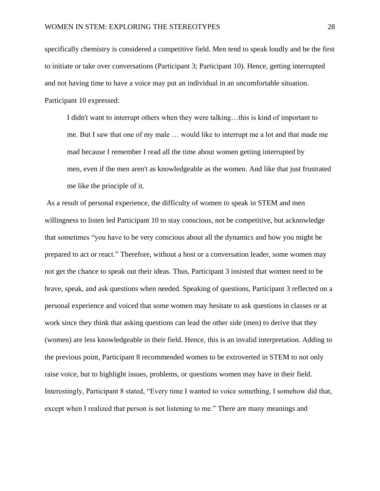specifically chemistry is considered a competitive field. Men tend to speak loudly and be the first to initiate or take over conversations (Participant 3; Participant 10). Hence, getting interrupted and not having time to have a voice may put an individual in an uncomfortable situation. Participant 10 expressed:

I didn't want to interrupt others when they were talking…this is kind of important to me. But I saw that one of my male … would like to interrupt me a lot and that made me mad because I remember I read all the time about women getting interrupted by men, even if the men aren't as knowledgeable as the women. And like that just frustrated me like the principle of it.

As a result of personal experience, the difficulty of women to speak in STEM and men willingness to listen led Participant 10 to stay conscious, not be competitive, but acknowledge that sometimes "you have to be very conscious about all the dynamics and how you might be prepared to act or react." Therefore, without a host or a conversation leader, some women may not get the chance to speak out their ideas. Thus, Participant 3 insisted that women need to be brave, speak, and ask questions when needed. Speaking of questions, Participant 3 reflected on a personal experience and voiced that some women may hesitate to ask questions in classes or at work since they think that asking questions can lead the other side (men) to derive that they (women) are less knowledgeable in their field. Hence, this is an invalid interpretation. Adding to the previous point, Participant 8 recommended women to be extroverted in STEM to not only raise voice, but to highlight issues, problems, or questions women may have in their field. Interestingly, Participant 8 stated, "Every time I wanted to voice something, I somehow did that, except when I realized that person is not listening to me." There are many meanings and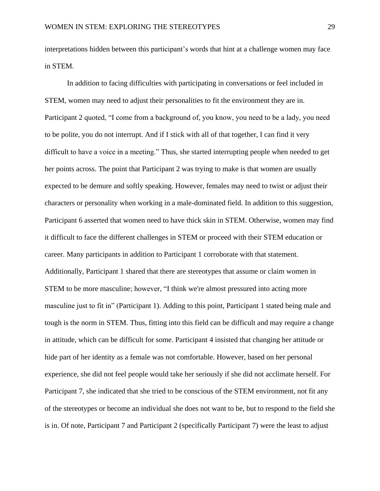interpretations hidden between this participant's words that hint at a challenge women may face in STEM.

In addition to facing difficulties with participating in conversations or feel included in STEM, women may need to adjust their personalities to fit the environment they are in. Participant 2 quoted, "I come from a background of, you know, you need to be a lady, you need to be polite, you do not interrupt. And if I stick with all of that together, I can find it very difficult to have a voice in a meeting." Thus, she started interrupting people when needed to get her points across. The point that Participant 2 was trying to make is that women are usually expected to be demure and softly speaking. However, females may need to twist or adjust their characters or personality when working in a male-dominated field. In addition to this suggestion, Participant 6 asserted that women need to have thick skin in STEM. Otherwise, women may find it difficult to face the different challenges in STEM or proceed with their STEM education or career. Many participants in addition to Participant 1 corroborate with that statement. Additionally, Participant 1 shared that there are stereotypes that assume or claim women in STEM to be more masculine; however, "I think we're almost pressured into acting more masculine just to fit in" (Participant 1). Adding to this point, Participant 1 stated being male and tough is the norm in STEM. Thus, fitting into this field can be difficult and may require a change in attitude, which can be difficult for some. Participant 4 insisted that changing her attitude or hide part of her identity as a female was not comfortable. However, based on her personal experience, she did not feel people would take her seriously if she did not acclimate herself. For Participant 7, she indicated that she tried to be conscious of the STEM environment, not fit any of the stereotypes or become an individual she does not want to be, but to respond to the field she is in. Of note, Participant 7 and Participant 2 (specifically Participant 7) were the least to adjust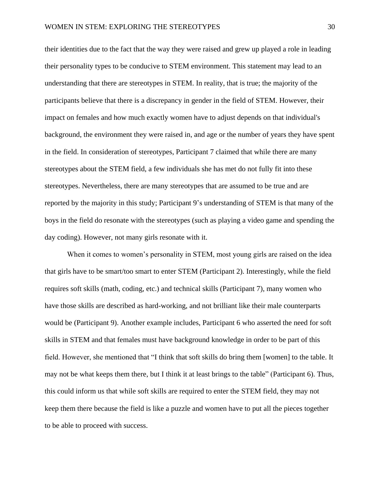their identities due to the fact that the way they were raised and grew up played a role in leading their personality types to be conducive to STEM environment. This statement may lead to an understanding that there are stereotypes in STEM. In reality, that is true; the majority of the participants believe that there is a discrepancy in gender in the field of STEM. However, their impact on females and how much exactly women have to adjust depends on that individual's background, the environment they were raised in, and age or the number of years they have spent in the field. In consideration of stereotypes, Participant 7 claimed that while there are many stereotypes about the STEM field, a few individuals she has met do not fully fit into these stereotypes. Nevertheless, there are many stereotypes that are assumed to be true and are reported by the majority in this study; Participant 9's understanding of STEM is that many of the boys in the field do resonate with the stereotypes (such as playing a video game and spending the day coding). However, not many girls resonate with it.

When it comes to women's personality in STEM, most young girls are raised on the idea that girls have to be smart/too smart to enter STEM (Participant 2). Interestingly, while the field requires soft skills (math, coding, etc.) and technical skills (Participant 7), many women who have those skills are described as hard-working, and not brilliant like their male counterparts would be (Participant 9). Another example includes, Participant 6 who asserted the need for soft skills in STEM and that females must have background knowledge in order to be part of this field. However, she mentioned that "I think that soft skills do bring them [women] to the table. It may not be what keeps them there, but I think it at least brings to the table" (Participant 6). Thus, this could inform us that while soft skills are required to enter the STEM field, they may not keep them there because the field is like a puzzle and women have to put all the pieces together to be able to proceed with success.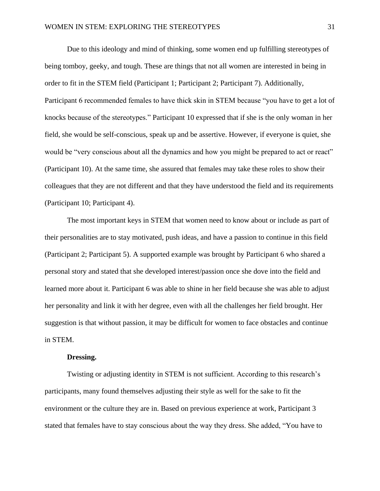Due to this ideology and mind of thinking, some women end up fulfilling stereotypes of being tomboy, geeky, and tough. These are things that not all women are interested in being in order to fit in the STEM field (Participant 1; Participant 2; Participant 7). Additionally, Participant 6 recommended females to have thick skin in STEM because "you have to get a lot of knocks because of the stereotypes." Participant 10 expressed that if she is the only woman in her field, she would be self-conscious, speak up and be assertive. However, if everyone is quiet, she would be "very conscious about all the dynamics and how you might be prepared to act or react" (Participant 10). At the same time, she assured that females may take these roles to show their colleagues that they are not different and that they have understood the field and its requirements (Participant 10; Participant 4).

The most important keys in STEM that women need to know about or include as part of their personalities are to stay motivated, push ideas, and have a passion to continue in this field (Participant 2; Participant 5). A supported example was brought by Participant 6 who shared a personal story and stated that she developed interest/passion once she dove into the field and learned more about it. Participant 6 was able to shine in her field because she was able to adjust her personality and link it with her degree, even with all the challenges her field brought. Her suggestion is that without passion, it may be difficult for women to face obstacles and continue in STEM.

#### **Dressing.**

Twisting or adjusting identity in STEM is not sufficient. According to this research's participants, many found themselves adjusting their style as well for the sake to fit the environment or the culture they are in. Based on previous experience at work, Participant 3 stated that females have to stay conscious about the way they dress. She added, "You have to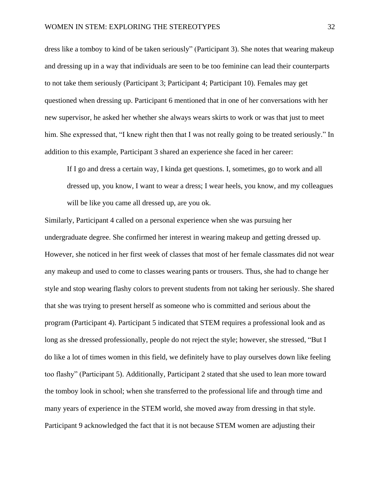dress like a tomboy to kind of be taken seriously" (Participant 3). She notes that wearing makeup and dressing up in a way that individuals are seen to be too feminine can lead their counterparts to not take them seriously (Participant 3; Participant 4; Participant 10). Females may get questioned when dressing up. Participant 6 mentioned that in one of her conversations with her new supervisor, he asked her whether she always wears skirts to work or was that just to meet him. She expressed that, "I knew right then that I was not really going to be treated seriously." In addition to this example, Participant 3 shared an experience she faced in her career:

If I go and dress a certain way, I kinda get questions. I, sometimes, go to work and all dressed up, you know, I want to wear a dress; I wear heels, you know, and my colleagues will be like you came all dressed up, are you ok.

Similarly, Participant 4 called on a personal experience when she was pursuing her undergraduate degree. She confirmed her interest in wearing makeup and getting dressed up. However, she noticed in her first week of classes that most of her female classmates did not wear any makeup and used to come to classes wearing pants or trousers. Thus, she had to change her style and stop wearing flashy colors to prevent students from not taking her seriously. She shared that she was trying to present herself as someone who is committed and serious about the program (Participant 4). Participant 5 indicated that STEM requires a professional look and as long as she dressed professionally, people do not reject the style; however, she stressed, "But I do like a lot of times women in this field, we definitely have to play ourselves down like feeling too flashy" (Participant 5). Additionally, Participant 2 stated that she used to lean more toward the tomboy look in school; when she transferred to the professional life and through time and many years of experience in the STEM world, she moved away from dressing in that style. Participant 9 acknowledged the fact that it is not because STEM women are adjusting their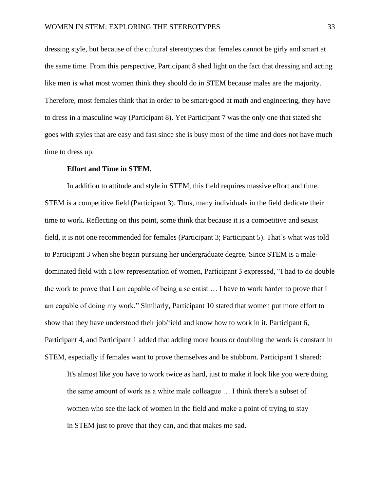dressing style, but because of the cultural stereotypes that females cannot be girly and smart at the same time. From this perspective, Participant 8 shed light on the fact that dressing and acting like men is what most women think they should do in STEM because males are the majority. Therefore, most females think that in order to be smart/good at math and engineering, they have to dress in a masculine way (Participant 8). Yet Participant 7 was the only one that stated she goes with styles that are easy and fast since she is busy most of the time and does not have much time to dress up.

#### **Effort and Time in STEM.**

In addition to attitude and style in STEM, this field requires massive effort and time. STEM is a competitive field (Participant 3). Thus, many individuals in the field dedicate their time to work. Reflecting on this point, some think that because it is a competitive and sexist field, it is not one recommended for females (Participant 3; Participant 5). That's what was told to Participant 3 when she began pursuing her undergraduate degree. Since STEM is a maledominated field with a low representation of women, Participant 3 expressed, "I had to do double the work to prove that I am capable of being a scientist … I have to work harder to prove that I am capable of doing my work." Similarly, Participant 10 stated that women put more effort to show that they have understood their job/field and know how to work in it. Participant 6, Participant 4, and Participant 1 added that adding more hours or doubling the work is constant in STEM, especially if females want to prove themselves and be stubborn. Participant 1 shared:

It's almost like you have to work twice as hard, just to make it look like you were doing the same amount of work as a white male colleague … I think there's a subset of women who see the lack of women in the field and make a point of trying to stay in STEM just to prove that they can, and that makes me sad.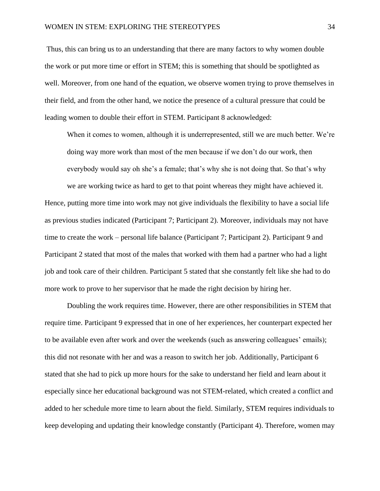Thus, this can bring us to an understanding that there are many factors to why women double the work or put more time or effort in STEM; this is something that should be spotlighted as well. Moreover, from one hand of the equation, we observe women trying to prove themselves in their field, and from the other hand, we notice the presence of a cultural pressure that could be leading women to double their effort in STEM. Participant 8 acknowledged:

When it comes to women, although it is underrepresented, still we are much better. We're doing way more work than most of the men because if we don't do our work, then everybody would say oh she's a female; that's why she is not doing that. So that's why

we are working twice as hard to get to that point whereas they might have achieved it. Hence, putting more time into work may not give individuals the flexibility to have a social life as previous studies indicated (Participant 7; Participant 2). Moreover, individuals may not have time to create the work – personal life balance (Participant 7; Participant 2). Participant 9 and Participant 2 stated that most of the males that worked with them had a partner who had a light job and took care of their children. Participant 5 stated that she constantly felt like she had to do more work to prove to her supervisor that he made the right decision by hiring her.

Doubling the work requires time. However, there are other responsibilities in STEM that require time. Participant 9 expressed that in one of her experiences, her counterpart expected her to be available even after work and over the weekends (such as answering colleagues' emails); this did not resonate with her and was a reason to switch her job. Additionally, Participant 6 stated that she had to pick up more hours for the sake to understand her field and learn about it especially since her educational background was not STEM-related, which created a conflict and added to her schedule more time to learn about the field. Similarly, STEM requires individuals to keep developing and updating their knowledge constantly (Participant 4). Therefore, women may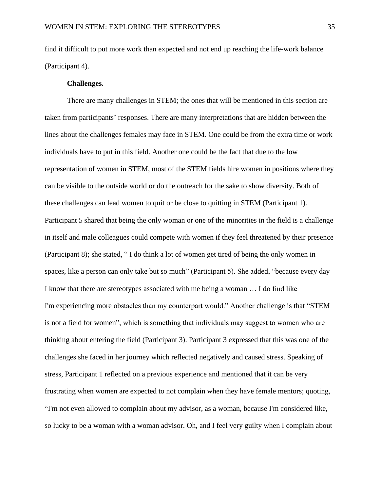find it difficult to put more work than expected and not end up reaching the life-work balance (Participant 4).

#### **Challenges.**

There are many challenges in STEM; the ones that will be mentioned in this section are taken from participants' responses. There are many interpretations that are hidden between the lines about the challenges females may face in STEM. One could be from the extra time or work individuals have to put in this field. Another one could be the fact that due to the low representation of women in STEM, most of the STEM fields hire women in positions where they can be visible to the outside world or do the outreach for the sake to show diversity. Both of these challenges can lead women to quit or be close to quitting in STEM (Participant 1). Participant 5 shared that being the only woman or one of the minorities in the field is a challenge in itself and male colleagues could compete with women if they feel threatened by their presence (Participant 8); she stated, " I do think a lot of women get tired of being the only women in spaces, like a person can only take but so much" (Participant 5). She added, "because every day I know that there are stereotypes associated with me being a woman … I do find like I'm experiencing more obstacles than my counterpart would." Another challenge is that "STEM is not a field for women", which is something that individuals may suggest to women who are thinking about entering the field (Participant 3). Participant 3 expressed that this was one of the challenges she faced in her journey which reflected negatively and caused stress. Speaking of stress, Participant 1 reflected on a previous experience and mentioned that it can be very frustrating when women are expected to not complain when they have female mentors; quoting, "I'm not even allowed to complain about my advisor, as a woman, because I'm considered like, so lucky to be a woman with a woman advisor. Oh, and I feel very guilty when I complain about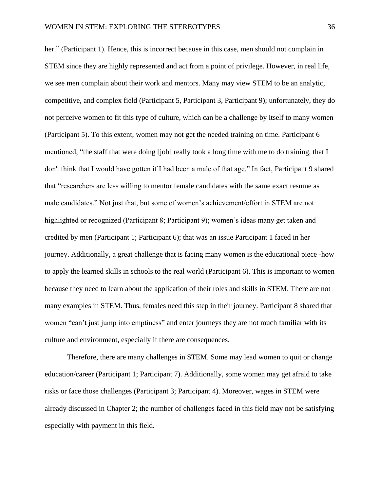her." (Participant 1). Hence, this is incorrect because in this case, men should not complain in STEM since they are highly represented and act from a point of privilege. However, in real life, we see men complain about their work and mentors. Many may view STEM to be an analytic, competitive, and complex field (Participant 5, Participant 3, Participant 9); unfortunately, they do not perceive women to fit this type of culture, which can be a challenge by itself to many women (Participant 5). To this extent, women may not get the needed training on time. Participant 6 mentioned, "the staff that were doing [job] really took a long time with me to do training, that I don't think that I would have gotten if I had been a male of that age." In fact, Participant 9 shared that "researchers are less willing to mentor female candidates with the same exact resume as male candidates." Not just that, but some of women's achievement/effort in STEM are not highlighted or recognized (Participant 8; Participant 9); women's ideas many get taken and credited by men (Participant 1; Participant 6); that was an issue Participant 1 faced in her journey. Additionally, a great challenge that is facing many women is the educational piece -how to apply the learned skills in schools to the real world (Participant 6). This is important to women because they need to learn about the application of their roles and skills in STEM. There are not many examples in STEM. Thus, females need this step in their journey. Participant 8 shared that women "can't just jump into emptiness" and enter journeys they are not much familiar with its culture and environment, especially if there are consequences.

Therefore, there are many challenges in STEM. Some may lead women to quit or change education/career (Participant 1; Participant 7). Additionally, some women may get afraid to take risks or face those challenges (Participant 3; Participant 4). Moreover, wages in STEM were already discussed in Chapter 2; the number of challenges faced in this field may not be satisfying especially with payment in this field.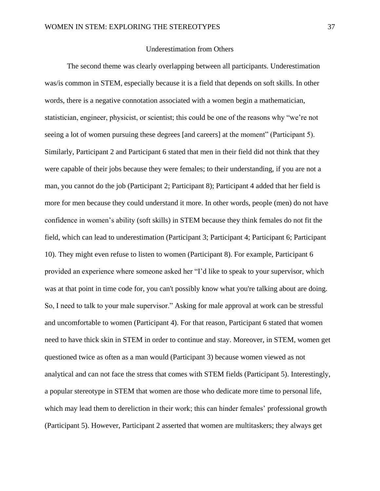## Underestimation from Others

The second theme was clearly overlapping between all participants. Underestimation was/is common in STEM, especially because it is a field that depends on soft skills. In other words, there is a negative connotation associated with a women begin a mathematician, statistician, engineer, physicist, or scientist; this could be one of the reasons why "we're not seeing a lot of women pursuing these degrees [and careers] at the moment" (Participant 5). Similarly, Participant 2 and Participant 6 stated that men in their field did not think that they were capable of their jobs because they were females; to their understanding, if you are not a man, you cannot do the job (Participant 2; Participant 8); Participant 4 added that her field is more for men because they could understand it more. In other words, people (men) do not have confidence in women's ability (soft skills) in STEM because they think females do not fit the field, which can lead to underestimation (Participant 3; Participant 4; Participant 6; Participant 10). They might even refuse to listen to women (Participant 8). For example, Participant 6 provided an experience where someone asked her "I'd like to speak to your supervisor, which was at that point in time code for, you can't possibly know what you're talking about are doing. So, I need to talk to your male supervisor." Asking for male approval at work can be stressful and uncomfortable to women (Participant 4). For that reason, Participant 6 stated that women need to have thick skin in STEM in order to continue and stay. Moreover, in STEM, women get questioned twice as often as a man would (Participant 3) because women viewed as not analytical and can not face the stress that comes with STEM fields (Participant 5). Interestingly, a popular stereotype in STEM that women are those who dedicate more time to personal life, which may lead them to dereliction in their work; this can hinder females' professional growth (Participant 5). However, Participant 2 asserted that women are multitaskers; they always get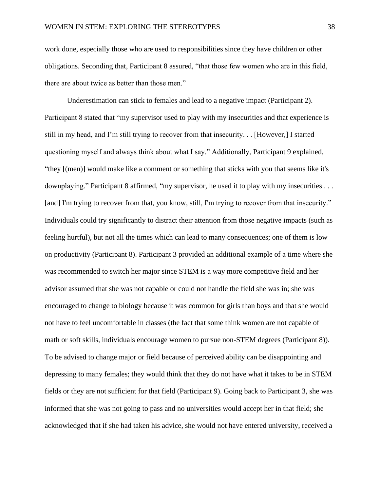work done, especially those who are used to responsibilities since they have children or other obligations. Seconding that, Participant 8 assured, "that those few women who are in this field, there are about twice as better than those men."

Underestimation can stick to females and lead to a negative impact (Participant 2). Participant 8 stated that "my supervisor used to play with my insecurities and that experience is still in my head, and I'm still trying to recover from that insecurity. . . [However,] I started questioning myself and always think about what I say." Additionally, Participant 9 explained, "they [(men)] would make like a comment or something that sticks with you that seems like it's downplaying." Participant 8 affirmed, "my supervisor, he used it to play with my insecurities . . . [and] I'm trying to recover from that, you know, still, I'm trying to recover from that insecurity." Individuals could try significantly to distract their attention from those negative impacts (such as feeling hurtful), but not all the times which can lead to many consequences; one of them is low on productivity (Participant 8). Participant 3 provided an additional example of a time where she was recommended to switch her major since STEM is a way more competitive field and her advisor assumed that she was not capable or could not handle the field she was in; she was encouraged to change to biology because it was common for girls than boys and that she would not have to feel uncomfortable in classes (the fact that some think women are not capable of math or soft skills, individuals encourage women to pursue non-STEM degrees (Participant 8)). To be advised to change major or field because of perceived ability can be disappointing and depressing to many females; they would think that they do not have what it takes to be in STEM fields or they are not sufficient for that field (Participant 9). Going back to Participant 3, she was informed that she was not going to pass and no universities would accept her in that field; she acknowledged that if she had taken his advice, she would not have entered university, received a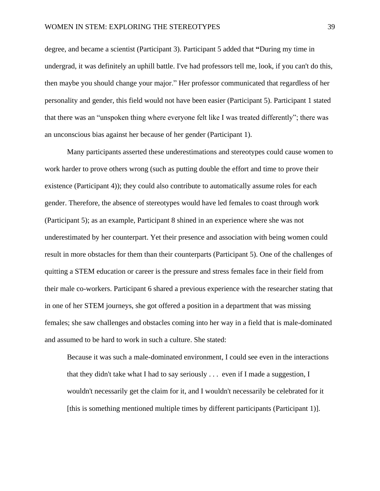degree, and became a scientist (Participant 3). Participant 5 added that **"**During my time in undergrad, it was definitely an uphill battle. I've had professors tell me, look, if you can't do this, then maybe you should change your major." Her professor communicated that regardless of her personality and gender, this field would not have been easier (Participant 5). Participant 1 stated that there was an "unspoken thing where everyone felt like I was treated differently"; there was an unconscious bias against her because of her gender (Participant 1).

Many participants asserted these underestimations and stereotypes could cause women to work harder to prove others wrong (such as putting double the effort and time to prove their existence (Participant 4)); they could also contribute to automatically assume roles for each gender. Therefore, the absence of stereotypes would have led females to coast through work (Participant 5); as an example, Participant 8 shined in an experience where she was not underestimated by her counterpart. Yet their presence and association with being women could result in more obstacles for them than their counterparts (Participant 5). One of the challenges of quitting a STEM education or career is the pressure and stress females face in their field from their male co-workers. Participant 6 shared a previous experience with the researcher stating that in one of her STEM journeys, she got offered a position in a department that was missing females; she saw challenges and obstacles coming into her way in a field that is male-dominated and assumed to be hard to work in such a culture. She stated:

Because it was such a male-dominated environment, I could see even in the interactions that they didn't take what I had to say seriously . . . even if I made a suggestion, I wouldn't necessarily get the claim for it, and I wouldn't necessarily be celebrated for it [this is something mentioned multiple times by different participants (Participant 1)].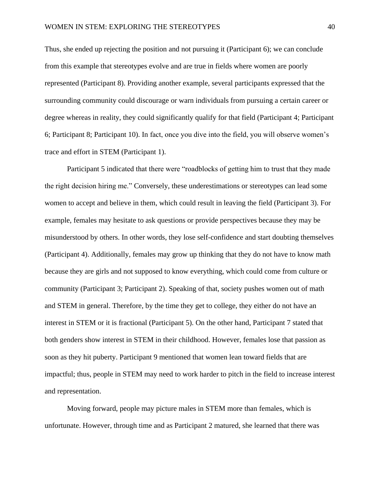Thus, she ended up rejecting the position and not pursuing it (Participant 6); we can conclude from this example that stereotypes evolve and are true in fields where women are poorly represented (Participant 8). Providing another example, several participants expressed that the surrounding community could discourage or warn individuals from pursuing a certain career or degree whereas in reality, they could significantly qualify for that field (Participant 4; Participant 6; Participant 8; Participant 10). In fact, once you dive into the field, you will observe women's trace and effort in STEM (Participant 1).

Participant 5 indicated that there were "roadblocks of getting him to trust that they made the right decision hiring me." Conversely, these underestimations or stereotypes can lead some women to accept and believe in them, which could result in leaving the field (Participant 3). For example, females may hesitate to ask questions or provide perspectives because they may be misunderstood by others. In other words, they lose self-confidence and start doubting themselves (Participant 4). Additionally, females may grow up thinking that they do not have to know math because they are girls and not supposed to know everything, which could come from culture or community (Participant 3; Participant 2). Speaking of that, society pushes women out of math and STEM in general. Therefore, by the time they get to college, they either do not have an interest in STEM or it is fractional (Participant 5). On the other hand, Participant 7 stated that both genders show interest in STEM in their childhood. However, females lose that passion as soon as they hit puberty. Participant 9 mentioned that women lean toward fields that are impactful; thus, people in STEM may need to work harder to pitch in the field to increase interest and representation.

Moving forward, people may picture males in STEM more than females, which is unfortunate. However, through time and as Participant 2 matured, she learned that there was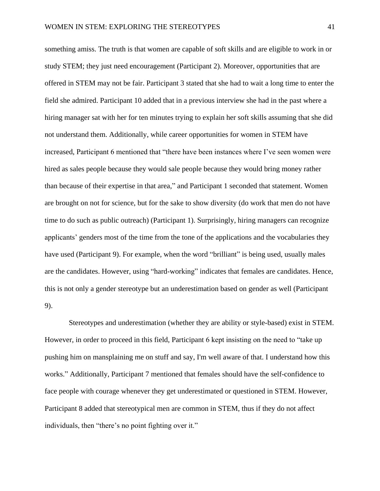something amiss. The truth is that women are capable of soft skills and are eligible to work in or study STEM; they just need encouragement (Participant 2). Moreover, opportunities that are offered in STEM may not be fair. Participant 3 stated that she had to wait a long time to enter the field she admired. Participant 10 added that in a previous interview she had in the past where a hiring manager sat with her for ten minutes trying to explain her soft skills assuming that she did not understand them. Additionally, while career opportunities for women in STEM have increased, Participant 6 mentioned that "there have been instances where I've seen women were hired as sales people because they would sale people because they would bring money rather than because of their expertise in that area," and Participant 1 seconded that statement. Women are brought on not for science, but for the sake to show diversity (do work that men do not have time to do such as public outreach) (Participant 1). Surprisingly, hiring managers can recognize applicants' genders most of the time from the tone of the applications and the vocabularies they have used (Participant 9). For example, when the word "brilliant" is being used, usually males are the candidates. However, using "hard-working" indicates that females are candidates. Hence, this is not only a gender stereotype but an underestimation based on gender as well (Participant 9).

Stereotypes and underestimation (whether they are ability or style-based) exist in STEM. However, in order to proceed in this field, Participant 6 kept insisting on the need to "take up pushing him on mansplaining me on stuff and say, I'm well aware of that. I understand how this works." Additionally, Participant 7 mentioned that females should have the self-confidence to face people with courage whenever they get underestimated or questioned in STEM. However, Participant 8 added that stereotypical men are common in STEM, thus if they do not affect individuals, then "there's no point fighting over it."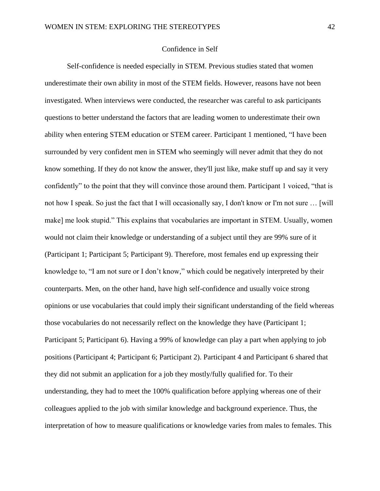## Confidence in Self

Self-confidence is needed especially in STEM. Previous studies stated that women underestimate their own ability in most of the STEM fields. However, reasons have not been investigated. When interviews were conducted, the researcher was careful to ask participants questions to better understand the factors that are leading women to underestimate their own ability when entering STEM education or STEM career. Participant 1 mentioned, "I have been surrounded by very confident men in STEM who seemingly will never admit that they do not know something. If they do not know the answer, they'll just like, make stuff up and say it very confidently" to the point that they will convince those around them. Participant 1 voiced, "that is not how I speak. So just the fact that I will occasionally say, I don't know or I'm not sure … [will make] me look stupid." This explains that vocabularies are important in STEM. Usually, women would not claim their knowledge or understanding of a subject until they are 99% sure of it (Participant 1; Participant 5; Participant 9). Therefore, most females end up expressing their knowledge to, "I am not sure or I don't know," which could be negatively interpreted by their counterparts. Men, on the other hand, have high self-confidence and usually voice strong opinions or use vocabularies that could imply their significant understanding of the field whereas those vocabularies do not necessarily reflect on the knowledge they have (Participant 1; Participant 5; Participant 6). Having a 99% of knowledge can play a part when applying to job positions (Participant 4; Participant 6; Participant 2). Participant 4 and Participant 6 shared that they did not submit an application for a job they mostly/fully qualified for. To their understanding, they had to meet the 100% qualification before applying whereas one of their colleagues applied to the job with similar knowledge and background experience. Thus, the interpretation of how to measure qualifications or knowledge varies from males to females. This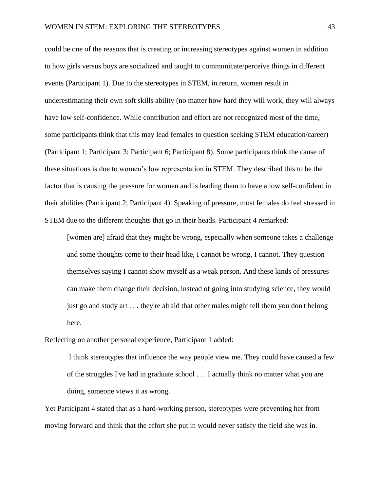could be one of the reasons that is creating or increasing stereotypes against women in addition to how girls versus boys are socialized and taught to communicate/perceive things in different events (Participant 1). Due to the stereotypes in STEM, in return, women result in underestimating their own soft skills ability (no matter how hard they will work, they will always have low self-confidence. While contribution and effort are not recognized most of the time, some participants think that this may lead females to question seeking STEM education/career) (Participant 1; Participant 3; Participant 6; Participant 8). Some participants think the cause of these situations is due to women's low representation in STEM. They described this to be the factor that is causing the pressure for women and is leading them to have a low self-confident in their abilities (Participant 2; Participant 4). Speaking of pressure, most females do feel stressed in STEM due to the different thoughts that go in their heads. Participant 4 remarked:

[women are] afraid that they might be wrong, especially when someone takes a challenge and some thoughts come to their head like, I cannot be wrong, I cannot. They question themselves saying I cannot show myself as a weak person. And these kinds of pressures can make them change their decision, instead of going into studying science, they would just go and study art . . . they're afraid that other males might tell them you don't belong here.

Reflecting on another personal experience, Participant 1 added:

I think stereotypes that influence the way people view me. They could have caused a few of the struggles I've had in graduate school . . . I actually think no matter what you are doing, someone views it as wrong.

Yet Participant 4 stated that as a hard-working person, stereotypes were preventing her from moving forward and think that the effort she put in would never satisfy the field she was in.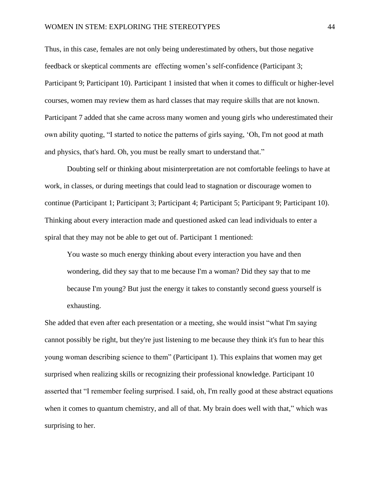Thus, in this case, females are not only being underestimated by others, but those negative feedback or skeptical comments are effecting women's self-confidence (Participant 3; Participant 9; Participant 10). Participant 1 insisted that when it comes to difficult or higher-level courses, women may review them as hard classes that may require skills that are not known. Participant 7 added that she came across many women and young girls who underestimated their own ability quoting, "I started to notice the patterns of girls saying, 'Oh, I'm not good at math and physics, that's hard. Oh, you must be really smart to understand that."

Doubting self or thinking about misinterpretation are not comfortable feelings to have at work, in classes, or during meetings that could lead to stagnation or discourage women to continue (Participant 1; Participant 3; Participant 4; Participant 5; Participant 9; Participant 10). Thinking about every interaction made and questioned asked can lead individuals to enter a spiral that they may not be able to get out of. Participant 1 mentioned:

You waste so much energy thinking about every interaction you have and then wondering, did they say that to me because I'm a woman? Did they say that to me because I'm young? But just the energy it takes to constantly second guess yourself is exhausting.

She added that even after each presentation or a meeting, she would insist "what I'm saying cannot possibly be right, but they're just listening to me because they think it's fun to hear this young woman describing science to them" (Participant 1). This explains that women may get surprised when realizing skills or recognizing their professional knowledge. Participant 10 asserted that "I remember feeling surprised. I said, oh, I'm really good at these abstract equations when it comes to quantum chemistry, and all of that. My brain does well with that," which was surprising to her.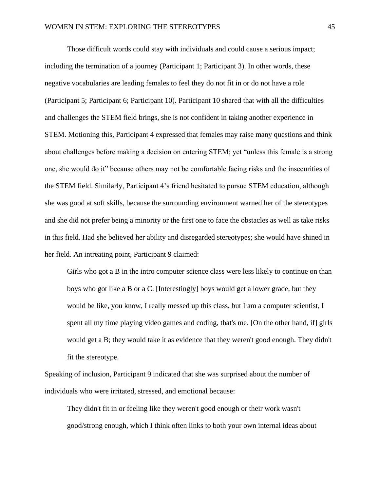Those difficult words could stay with individuals and could cause a serious impact; including the termination of a journey (Participant 1; Participant 3). In other words, these negative vocabularies are leading females to feel they do not fit in or do not have a role (Participant 5; Participant 6; Participant 10). Participant 10 shared that with all the difficulties and challenges the STEM field brings, she is not confident in taking another experience in STEM. Motioning this, Participant 4 expressed that females may raise many questions and think about challenges before making a decision on entering STEM; yet "unless this female is a strong one, she would do it" because others may not be comfortable facing risks and the insecurities of the STEM field. Similarly, Participant 4's friend hesitated to pursue STEM education, although she was good at soft skills, because the surrounding environment warned her of the stereotypes and she did not prefer being a minority or the first one to face the obstacles as well as take risks in this field. Had she believed her ability and disregarded stereotypes; she would have shined in her field. An intreating point, Participant 9 claimed:

Girls who got a B in the intro computer science class were less likely to continue on than boys who got like a B or a C. [Interestingly] boys would get a lower grade, but they would be like, you know, I really messed up this class, but I am a computer scientist, I spent all my time playing video games and coding, that's me. [On the other hand, if] girls would get a B; they would take it as evidence that they weren't good enough. They didn't fit the stereotype.

Speaking of inclusion, Participant 9 indicated that she was surprised about the number of individuals who were irritated, stressed, and emotional because:

They didn't fit in or feeling like they weren't good enough or their work wasn't good/strong enough, which I think often links to both your own internal ideas about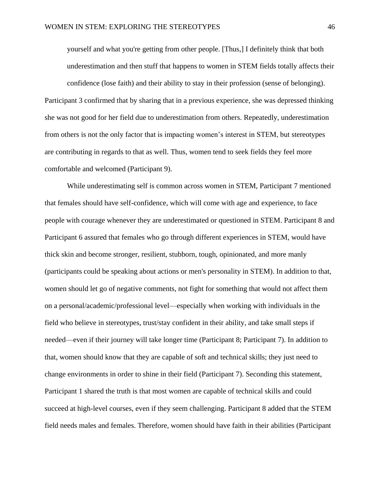yourself and what you're getting from other people. [Thus,] I definitely think that both underestimation and then stuff that happens to women in STEM fields totally affects their confidence (lose faith) and their ability to stay in their profession (sense of belonging). Participant 3 confirmed that by sharing that in a previous experience, she was depressed thinking she was not good for her field due to underestimation from others. Repeatedly, underestimation from others is not the only factor that is impacting women's interest in STEM, but stereotypes are contributing in regards to that as well. Thus, women tend to seek fields they feel more comfortable and welcomed (Participant 9).

While underestimating self is common across women in STEM, Participant 7 mentioned that females should have self-confidence, which will come with age and experience, to face people with courage whenever they are underestimated or questioned in STEM. Participant 8 and Participant 6 assured that females who go through different experiences in STEM, would have thick skin and become stronger, resilient, stubborn, tough, opinionated, and more manly (participants could be speaking about actions or men's personality in STEM). In addition to that, women should let go of negative comments, not fight for something that would not affect them on a personal/academic/professional level—especially when working with individuals in the field who believe in stereotypes, trust/stay confident in their ability, and take small steps if needed—even if their journey will take longer time (Participant 8; Participant 7). In addition to that, women should know that they are capable of soft and technical skills; they just need to change environments in order to shine in their field (Participant 7). Seconding this statement, Participant 1 shared the truth is that most women are capable of technical skills and could succeed at high-level courses, even if they seem challenging. Participant 8 added that the STEM field needs males and females. Therefore, women should have faith in their abilities (Participant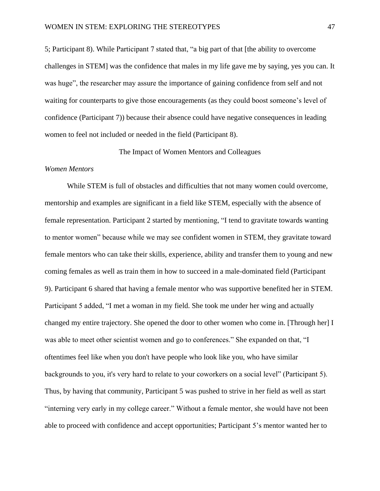5; Participant 8). While Participant 7 stated that, "a big part of that [the ability to overcome challenges in STEM] was the confidence that males in my life gave me by saying, yes you can. It was huge", the researcher may assure the importance of gaining confidence from self and not waiting for counterparts to give those encouragements (as they could boost someone's level of confidence (Participant 7)) because their absence could have negative consequences in leading women to feel not included or needed in the field (Participant 8).

The Impact of Women Mentors and Colleagues

#### *Women Mentors*

While STEM is full of obstacles and difficulties that not many women could overcome, mentorship and examples are significant in a field like STEM, especially with the absence of female representation. Participant 2 started by mentioning, "I tend to gravitate towards wanting to mentor women" because while we may see confident women in STEM, they gravitate toward female mentors who can take their skills, experience, ability and transfer them to young and new coming females as well as train them in how to succeed in a male-dominated field (Participant 9). Participant 6 shared that having a female mentor who was supportive benefited her in STEM. Participant 5 added, "I met a woman in my field. She took me under her wing and actually changed my entire trajectory. She opened the door to other women who come in. [Through her] I was able to meet other scientist women and go to conferences." She expanded on that, "I oftentimes feel like when you don't have people who look like you, who have similar backgrounds to you, it's very hard to relate to your coworkers on a social level" (Participant 5). Thus, by having that community, Participant 5 was pushed to strive in her field as well as start "interning very early in my college career." Without a female mentor, she would have not been able to proceed with confidence and accept opportunities; Participant 5's mentor wanted her to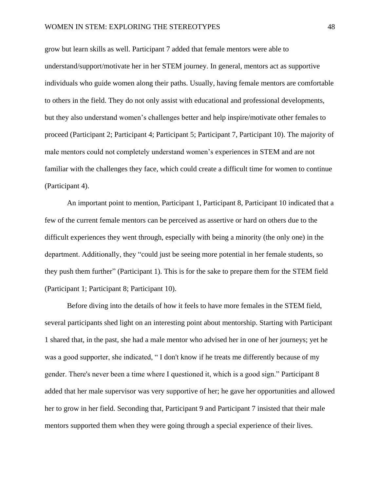grow but learn skills as well. Participant 7 added that female mentors were able to understand/support/motivate her in her STEM journey. In general, mentors act as supportive individuals who guide women along their paths. Usually, having female mentors are comfortable to others in the field. They do not only assist with educational and professional developments, but they also understand women's challenges better and help inspire/motivate other females to proceed (Participant 2; Participant 4; Participant 5; Participant 7, Participant 10). The majority of male mentors could not completely understand women's experiences in STEM and are not familiar with the challenges they face, which could create a difficult time for women to continue (Participant 4).

An important point to mention, Participant 1, Participant 8, Participant 10 indicated that a few of the current female mentors can be perceived as assertive or hard on others due to the difficult experiences they went through, especially with being a minority (the only one) in the department. Additionally, they "could just be seeing more potential in her female students, so they push them further" (Participant 1). This is for the sake to prepare them for the STEM field (Participant 1; Participant 8; Participant 10).

Before diving into the details of how it feels to have more females in the STEM field, several participants shed light on an interesting point about mentorship. Starting with Participant 1 shared that, in the past, she had a male mentor who advised her in one of her journeys; yet he was a good supporter, she indicated, " I don't know if he treats me differently because of my gender. There's never been a time where I questioned it, which is a good sign." Participant 8 added that her male supervisor was very supportive of her; he gave her opportunities and allowed her to grow in her field. Seconding that, Participant 9 and Participant 7 insisted that their male mentors supported them when they were going through a special experience of their lives.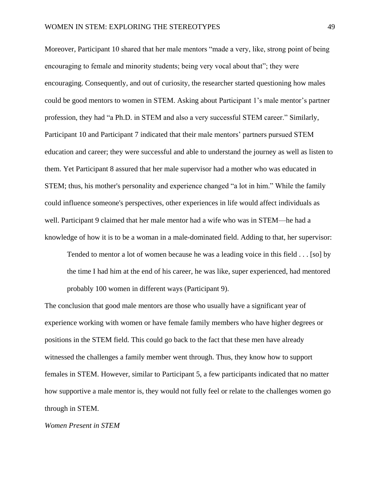Moreover, Participant 10 shared that her male mentors "made a very, like, strong point of being encouraging to female and minority students; being very vocal about that"; they were encouraging. Consequently, and out of curiosity, the researcher started questioning how males could be good mentors to women in STEM. Asking about Participant 1's male mentor's partner profession, they had "a Ph.D. in STEM and also a very successful STEM career." Similarly, Participant 10 and Participant 7 indicated that their male mentors' partners pursued STEM education and career; they were successful and able to understand the journey as well as listen to them. Yet Participant 8 assured that her male supervisor had a mother who was educated in STEM; thus, his mother's personality and experience changed "a lot in him." While the family could influence someone's perspectives, other experiences in life would affect individuals as well. Participant 9 claimed that her male mentor had a wife who was in STEM—he had a knowledge of how it is to be a woman in a male-dominated field. Adding to that, her supervisor:

Tended to mentor a lot of women because he was a leading voice in this field . . . [so] by the time I had him at the end of his career, he was like, super experienced, had mentored probably 100 women in different ways (Participant 9).

The conclusion that good male mentors are those who usually have a significant year of experience working with women or have female family members who have higher degrees or positions in the STEM field. This could go back to the fact that these men have already witnessed the challenges a family member went through. Thus, they know how to support females in STEM. However, similar to Participant 5, a few participants indicated that no matter how supportive a male mentor is, they would not fully feel or relate to the challenges women go through in STEM.

*Women Present in STEM*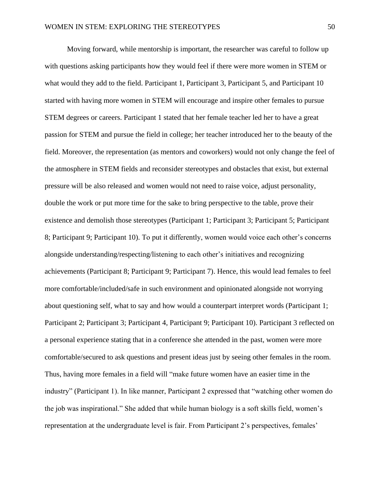Moving forward, while mentorship is important, the researcher was careful to follow up with questions asking participants how they would feel if there were more women in STEM or what would they add to the field. Participant 1, Participant 3, Participant 5, and Participant 10 started with having more women in STEM will encourage and inspire other females to pursue STEM degrees or careers. Participant 1 stated that her female teacher led her to have a great passion for STEM and pursue the field in college; her teacher introduced her to the beauty of the field. Moreover, the representation (as mentors and coworkers) would not only change the feel of the atmosphere in STEM fields and reconsider stereotypes and obstacles that exist, but external pressure will be also released and women would not need to raise voice, adjust personality, double the work or put more time for the sake to bring perspective to the table, prove their existence and demolish those stereotypes (Participant 1; Participant 3; Participant 5; Participant 8; Participant 9; Participant 10). To put it differently, women would voice each other's concerns alongside understanding/respecting/listening to each other's initiatives and recognizing achievements (Participant 8; Participant 9; Participant 7). Hence, this would lead females to feel more comfortable/included/safe in such environment and opinionated alongside not worrying about questioning self, what to say and how would a counterpart interpret words (Participant 1; Participant 2; Participant 3; Participant 4, Participant 9; Participant 10). Participant 3 reflected on a personal experience stating that in a conference she attended in the past, women were more comfortable/secured to ask questions and present ideas just by seeing other females in the room. Thus, having more females in a field will "make future women have an easier time in the industry" (Participant 1). In like manner, Participant 2 expressed that "watching other women do the job was inspirational." She added that while human biology is a soft skills field, women's representation at the undergraduate level is fair. From Participant 2's perspectives, females'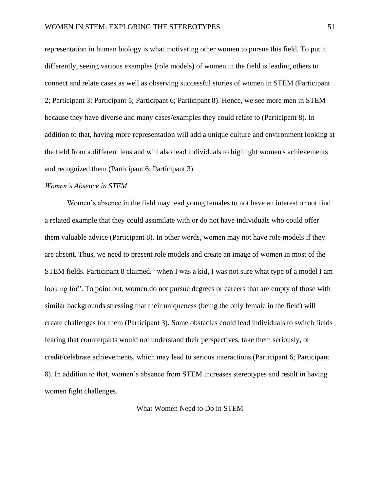representation in human biology is what motivating other women to pursue this field. To put it differently, seeing various examples (role models) of women in the field is leading others to connect and relate cases as well as observing successful stories of women in STEM (Participant 2; Participant 3; Participant 5; Participant 6; Participant 8). Hence, we see more men in STEM because they have diverse and many cases/examples they could relate to (Participant 8). In addition to that, having more representation will add a unique culture and environment looking at the field from a different lens and will also lead individuals to highlight women's achievements and recognized them (Participant 6; Participant 3).

### *Women's Absence in STEM*

Women's absence in the field may lead young females to not have an interest or not find a related example that they could assimilate with or do not have individuals who could offer them valuable advice (Participant 8). In other words, women may not have role models if they are absent. Thus, we need to present role models and create an image of women in most of the STEM fields. Participant 8 claimed, "when I was a kid, I was not sure what type of a model I am looking for". To point out, women do not pursue degrees or careers that are empty of those with similar backgrounds stressing that their uniqueness (being the only female in the field) will create challenges for them (Participant 3). Some obstacles could lead individuals to switch fields fearing that counterparts would not understand their perspectives, take them seriously, or credit/celebrate achievements, which may lead to serious interactions (Participant 6; Participant 8). In addition to that, women's absence from STEM increases stereotypes and result in having women fight challenges.

## What Women Need to Do in STEM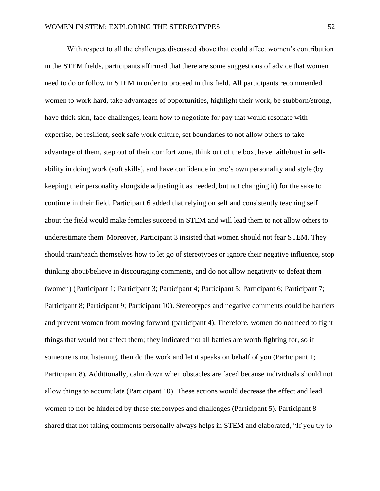With respect to all the challenges discussed above that could affect women's contribution in the STEM fields, participants affirmed that there are some suggestions of advice that women need to do or follow in STEM in order to proceed in this field. All participants recommended women to work hard, take advantages of opportunities, highlight their work, be stubborn/strong, have thick skin, face challenges, learn how to negotiate for pay that would resonate with expertise, be resilient, seek safe work culture, set boundaries to not allow others to take advantage of them, step out of their comfort zone, think out of the box, have faith/trust in selfability in doing work (soft skills), and have confidence in one's own personality and style (by keeping their personality alongside adjusting it as needed, but not changing it) for the sake to continue in their field. Participant 6 added that relying on self and consistently teaching self about the field would make females succeed in STEM and will lead them to not allow others to underestimate them. Moreover, Participant 3 insisted that women should not fear STEM. They should train/teach themselves how to let go of stereotypes or ignore their negative influence, stop thinking about/believe in discouraging comments, and do not allow negativity to defeat them (women) (Participant 1; Participant 3; Participant 4; Participant 5; Participant 6; Participant 7; Participant 8; Participant 9; Participant 10). Stereotypes and negative comments could be barriers and prevent women from moving forward (participant 4). Therefore, women do not need to fight things that would not affect them; they indicated not all battles are worth fighting for, so if someone is not listening, then do the work and let it speaks on behalf of you (Participant 1; Participant 8). Additionally, calm down when obstacles are faced because individuals should not allow things to accumulate (Participant 10). These actions would decrease the effect and lead women to not be hindered by these stereotypes and challenges (Participant 5). Participant 8 shared that not taking comments personally always helps in STEM and elaborated, "If you try to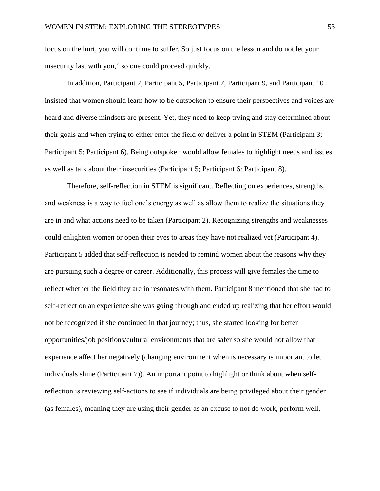focus on the hurt, you will continue to suffer. So just focus on the lesson and do not let your insecurity last with you," so one could proceed quickly.

In addition, Participant 2, Participant 5, Participant 7, Participant 9, and Participant 10 insisted that women should learn how to be outspoken to ensure their perspectives and voices are heard and diverse mindsets are present. Yet, they need to keep trying and stay determined about their goals and when trying to either enter the field or deliver a point in STEM (Participant 3; Participant 5; Participant 6). Being outspoken would allow females to highlight needs and issues as well as talk about their insecurities (Participant 5; Participant 6: Participant 8).

Therefore, self-reflection in STEM is significant. Reflecting on experiences, strengths, and weakness is a way to fuel one's energy as well as allow them to realize the situations they are in and what actions need to be taken (Participant 2). Recognizing strengths and weaknesses could enlighten women or open their eyes to areas they have not realized yet (Participant 4). Participant 5 added that self-reflection is needed to remind women about the reasons why they are pursuing such a degree or career. Additionally, this process will give females the time to reflect whether the field they are in resonates with them. Participant 8 mentioned that she had to self-reflect on an experience she was going through and ended up realizing that her effort would not be recognized if she continued in that journey; thus, she started looking for better opportunities/job positions/cultural environments that are safer so she would not allow that experience affect her negatively (changing environment when is necessary is important to let individuals shine (Participant 7)). An important point to highlight or think about when selfreflection is reviewing self-actions to see if individuals are being privileged about their gender (as females), meaning they are using their gender as an excuse to not do work, perform well,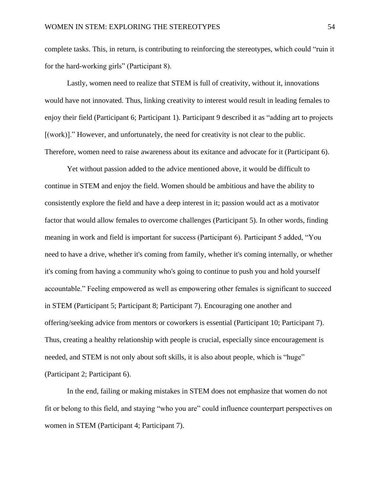complete tasks. This, in return, is contributing to reinforcing the stereotypes, which could "ruin it for the hard-working girls" (Participant 8).

Lastly, women need to realize that STEM is full of creativity, without it, innovations would have not innovated. Thus, linking creativity to interest would result in leading females to enjoy their field (Participant 6; Participant 1). Participant 9 described it as "adding art to projects [(work)]." However, and unfortunately, the need for creativity is not clear to the public. Therefore, women need to raise awareness about its exitance and advocate for it (Participant 6).

Yet without passion added to the advice mentioned above, it would be difficult to continue in STEM and enjoy the field. Women should be ambitious and have the ability to consistently explore the field and have a deep interest in it; passion would act as a motivator factor that would allow females to overcome challenges (Participant 5). In other words, finding meaning in work and field is important for success (Participant 6). Participant 5 added, "You need to have a drive, whether it's coming from family, whether it's coming internally, or whether it's coming from having a community who's going to continue to push you and hold yourself accountable." Feeling empowered as well as empowering other females is significant to succeed in STEM (Participant 5; Participant 8; Participant 7). Encouraging one another and offering/seeking advice from mentors or coworkers is essential (Participant 10; Participant 7). Thus, creating a healthy relationship with people is crucial, especially since encouragement is needed, and STEM is not only about soft skills, it is also about people, which is "huge" (Participant 2; Participant 6).

In the end, failing or making mistakes in STEM does not emphasize that women do not fit or belong to this field, and staying "who you are" could influence counterpart perspectives on women in STEM (Participant 4; Participant 7).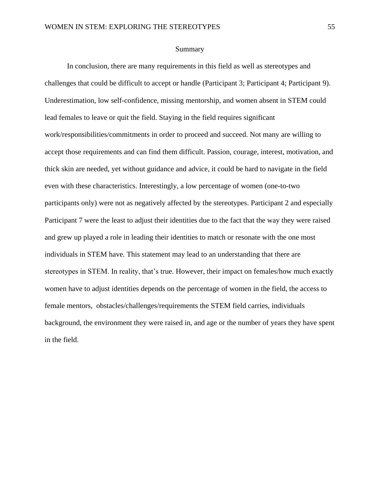### Summary

In conclusion, there are many requirements in this field as well as stereotypes and challenges that could be difficult to accept or handle (Participant 3; Participant 4; Participant 9). Underestimation, low self-confidence, missing mentorship, and women absent in STEM could lead females to leave or quit the field. Staying in the field requires significant work/responsibilities/commitments in order to proceed and succeed. Not many are willing to accept those requirements and can find them difficult. Passion, courage, interest, motivation, and thick skin are needed, yet without guidance and advice, it could be hard to navigate in the field even with these characteristics. Interestingly, a low percentage of women (one-to-two participants only) were not as negatively affected by the stereotypes. Participant 2 and especially Participant 7 were the least to adjust their identities due to the fact that the way they were raised and grew up played a role in leading their identities to match or resonate with the one most individuals in STEM have. This statement may lead to an understanding that there are stereotypes in STEM. In reality, that's true. However, their impact on females/how much exactly women have to adjust identities depends on the percentage of women in the field, the access to female mentors, obstacles/challenges/requirements the STEM field carries, individuals background, the environment they were raised in, and age or the number of years they have spent in the field.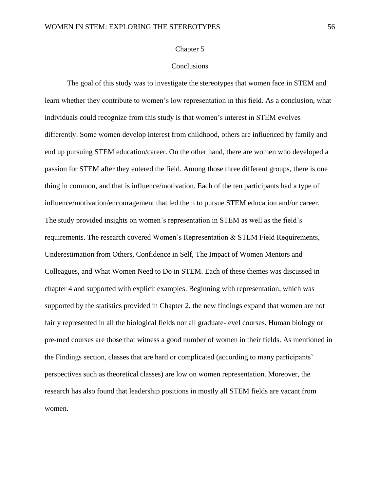#### Chapter 5

# **Conclusions**

The goal of this study was to investigate the stereotypes that women face in STEM and learn whether they contribute to women's low representation in this field. As a conclusion, what individuals could recognize from this study is that women's interest in STEM evolves differently. Some women develop interest from childhood, others are influenced by family and end up pursuing STEM education/career. On the other hand, there are women who developed a passion for STEM after they entered the field. Among those three different groups, there is one thing in common, and that is influence/motivation. Each of the ten participants had a type of influence/motivation/encouragement that led them to pursue STEM education and/or career. The study provided insights on women's representation in STEM as well as the field's requirements. The research covered Women's Representation & STEM Field Requirements, Underestimation from Others, Confidence in Self, The Impact of Women Mentors and Colleagues, and What Women Need to Do in STEM. Each of these themes was discussed in chapter 4 and supported with explicit examples. Beginning with representation, which was supported by the statistics provided in Chapter 2, the new findings expand that women are not fairly represented in all the biological fields nor all graduate-level courses. Human biology or pre-med courses are those that witness a good number of women in their fields. As mentioned in the Findings section, classes that are hard or complicated (according to many participants' perspectives such as theoretical classes) are low on women representation. Moreover, the research has also found that leadership positions in mostly all STEM fields are vacant from women.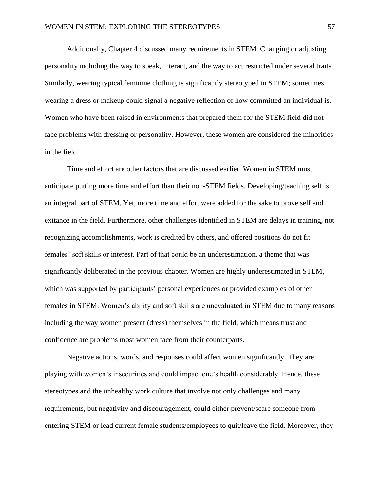Additionally, Chapter 4 discussed many requirements in STEM. Changing or adjusting personality including the way to speak, interact, and the way to act restricted under several traits. Similarly, wearing typical feminine clothing is significantly stereotyped in STEM; sometimes wearing a dress or makeup could signal a negative reflection of how committed an individual is. Women who have been raised in environments that prepared them for the STEM field did not face problems with dressing or personality. However, these women are considered the minorities in the field.

Time and effort are other factors that are discussed earlier. Women in STEM must anticipate putting more time and effort than their non-STEM fields. Developing/teaching self is an integral part of STEM. Yet, more time and effort were added for the sake to prove self and exitance in the field. Furthermore, other challenges identified in STEM are delays in training, not recognizing accomplishments, work is credited by others, and offered positions do not fit females' soft skills or interest. Part of that could be an underestimation, a theme that was significantly deliberated in the previous chapter. Women are highly underestimated in STEM, which was supported by participants' personal experiences or provided examples of other females in STEM. Women's ability and soft skills are unevaluated in STEM due to many reasons including the way women present (dress) themselves in the field, which means trust and confidence are problems most women face from their counterparts.

Negative actions, words, and responses could affect women significantly. They are playing with women's insecurities and could impact one's health considerably. Hence, these stereotypes and the unhealthy work culture that involve not only challenges and many requirements, but negativity and discouragement, could either prevent/scare someone from entering STEM or lead current female students/employees to quit/leave the field. Moreover, they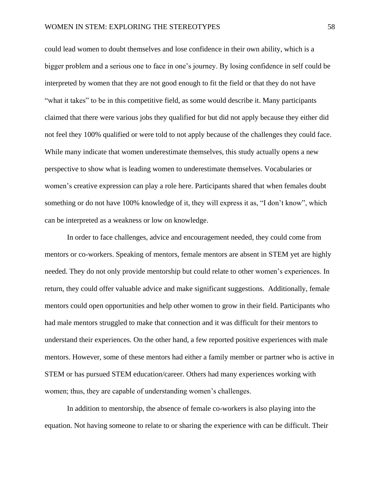could lead women to doubt themselves and lose confidence in their own ability, which is a bigger problem and a serious one to face in one's journey. By losing confidence in self could be interpreted by women that they are not good enough to fit the field or that they do not have "what it takes" to be in this competitive field, as some would describe it. Many participants claimed that there were various jobs they qualified for but did not apply because they either did not feel they 100% qualified or were told to not apply because of the challenges they could face. While many indicate that women underestimate themselves, this study actually opens a new perspective to show what is leading women to underestimate themselves. Vocabularies or women's creative expression can play a role here. Participants shared that when females doubt something or do not have 100% knowledge of it, they will express it as, "I don't know", which can be interpreted as a weakness or low on knowledge.

In order to face challenges, advice and encouragement needed, they could come from mentors or co-workers. Speaking of mentors, female mentors are absent in STEM yet are highly needed. They do not only provide mentorship but could relate to other women's experiences. In return, they could offer valuable advice and make significant suggestions. Additionally, female mentors could open opportunities and help other women to grow in their field. Participants who had male mentors struggled to make that connection and it was difficult for their mentors to understand their experiences. On the other hand, a few reported positive experiences with male mentors. However, some of these mentors had either a family member or partner who is active in STEM or has pursued STEM education/career. Others had many experiences working with women; thus, they are capable of understanding women's challenges.

In addition to mentorship, the absence of female co-workers is also playing into the equation. Not having someone to relate to or sharing the experience with can be difficult. Their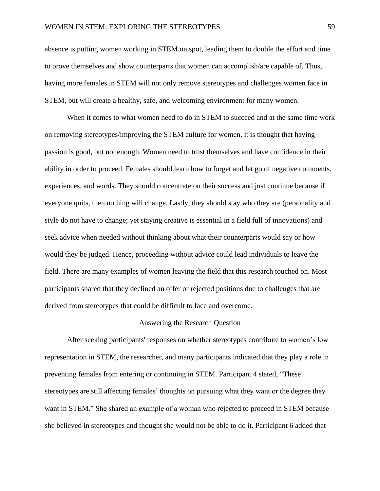absence is putting women working in STEM on spot, leading them to double the effort and time to prove themselves and show counterparts that women can accomplish/are capable of. Thus, having more females in STEM will not only remove stereotypes and challenges women face in STEM, but will create a healthy, safe, and welcoming environment for many women.

When it comes to what women need to do in STEM to succeed and at the same time work on removing stereotypes/improving the STEM culture for women, it is thought that having passion is good, but not enough. Women need to trust themselves and have confidence in their ability in order to proceed. Females should learn how to forget and let go of negative comments, experiences, and words. They should concentrate on their success and just continue because if everyone quits, then nothing will change. Lastly, they should stay who they are (personality and style do not have to change; yet staying creative is essential in a field full of innovations) and seek advice when needed without thinking about what their counterparts would say or how would they be judged. Hence, proceeding without advice could lead individuals to leave the field. There are many examples of women leaving the field that this research touched on. Most participants shared that they declined an offer or rejected positions due to challenges that are derived from stereotypes that could be difficult to face and overcome.

## Answering the Research Question

After seeking participants' responses on whether stereotypes contribute to women's low representation in STEM, the researcher, and many participants indicated that they play a role in preventing females from entering or continuing in STEM. Participant 4 stated, "These stereotypes are still affecting females' thoughts on pursuing what they want or the degree they want in STEM." She shared an example of a woman who rejected to proceed in STEM because she believed in stereotypes and thought she would not be able to do it. Participant 6 added that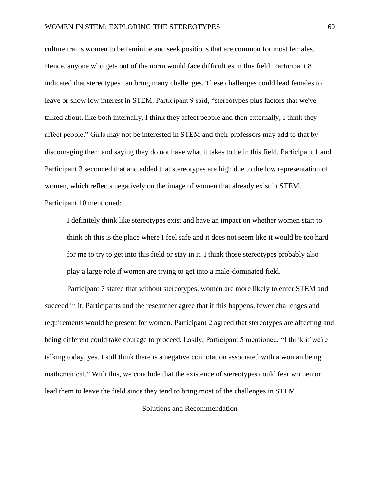culture trains women to be feminine and seek positions that are common for most females. Hence, anyone who gets out of the norm would face difficulties in this field. Participant 8 indicated that stereotypes can bring many challenges. These challenges could lead females to leave or show low interest in STEM. Participant 9 said, "stereotypes plus factors that we've talked about, like both internally, I think they affect people and then externally, I think they affect people." Girls may not be interested in STEM and their professors may add to that by discouraging them and saying they do not have what it takes to be in this field. Participant 1 and Participant 3 seconded that and added that stereotypes are high due to the low representation of women, which reflects negatively on the image of women that already exist in STEM. Participant 10 mentioned:

I definitely think like stereotypes exist and have an impact on whether women start to think oh this is the place where I feel safe and it does not seem like it would be too hard for me to try to get into this field or stay in it. I think those stereotypes probably also play a large role if women are trying to get into a male-dominated field.

Participant 7 stated that without stereotypes, women are more likely to enter STEM and succeed in it. Participants and the researcher agree that if this happens, fewer challenges and requirements would be present for women. Participant 2 agreed that stereotypes are affecting and being different could take courage to proceed. Lastly, Participant 5 mentioned, "I think if we're talking today, yes. I still think there is a negative connotation associated with a woman being mathematical." With this, we conclude that the existence of stereotypes could fear women or lead them to leave the field since they tend to bring most of the challenges in STEM.

Solutions and Recommendation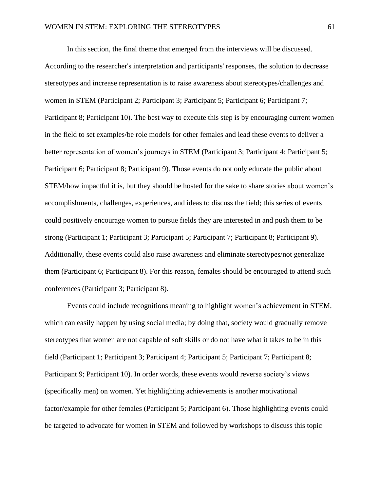In this section, the final theme that emerged from the interviews will be discussed. According to the researcher's interpretation and participants' responses, the solution to decrease stereotypes and increase representation is to raise awareness about stereotypes/challenges and women in STEM (Participant 2; Participant 3; Participant 5; Participant 6; Participant 7; Participant 8; Participant 10). The best way to execute this step is by encouraging current women in the field to set examples/be role models for other females and lead these events to deliver a better representation of women's journeys in STEM (Participant 3; Participant 4; Participant 5; Participant 6; Participant 8; Participant 9). Those events do not only educate the public about STEM/how impactful it is, but they should be hosted for the sake to share stories about women's accomplishments, challenges, experiences, and ideas to discuss the field; this series of events could positively encourage women to pursue fields they are interested in and push them to be strong (Participant 1; Participant 3; Participant 5; Participant 7; Participant 8; Participant 9). Additionally, these events could also raise awareness and eliminate stereotypes/not generalize them (Participant 6; Participant 8). For this reason, females should be encouraged to attend such conferences (Participant 3; Participant 8).

Events could include recognitions meaning to highlight women's achievement in STEM, which can easily happen by using social media; by doing that, society would gradually remove stereotypes that women are not capable of soft skills or do not have what it takes to be in this field (Participant 1; Participant 3; Participant 4; Participant 5; Participant 7; Participant 8; Participant 9; Participant 10). In order words, these events would reverse society's views (specifically men) on women. Yet highlighting achievements is another motivational factor/example for other females (Participant 5; Participant 6). Those highlighting events could be targeted to advocate for women in STEM and followed by workshops to discuss this topic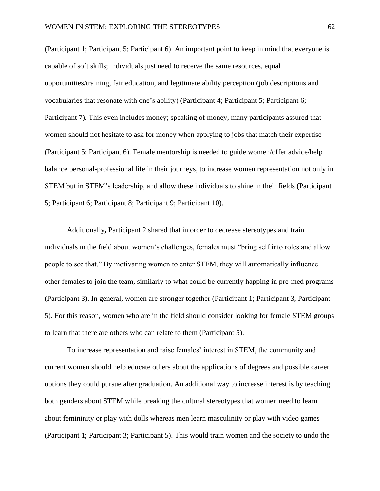(Participant 1; Participant 5; Participant 6). An important point to keep in mind that everyone is capable of soft skills; individuals just need to receive the same resources, equal opportunities/training, fair education, and legitimate ability perception (job descriptions and vocabularies that resonate with one's ability) (Participant 4; Participant 5; Participant 6; Participant 7). This even includes money; speaking of money, many participants assured that women should not hesitate to ask for money when applying to jobs that match their expertise (Participant 5; Participant 6). Female mentorship is needed to guide women/offer advice/help balance personal-professional life in their journeys, to increase women representation not only in STEM but in STEM's leadership, and allow these individuals to shine in their fields (Participant 5; Participant 6; Participant 8; Participant 9; Participant 10).

Additionally**,** Participant 2 shared that in order to decrease stereotypes and train individuals in the field about women's challenges, females must "bring self into roles and allow people to see that." By motivating women to enter STEM, they will automatically influence other females to join the team, similarly to what could be currently happing in pre-med programs (Participant 3). In general, women are stronger together (Participant 1; Participant 3, Participant 5). For this reason, women who are in the field should consider looking for female STEM groups to learn that there are others who can relate to them (Participant 5).

To increase representation and raise females' interest in STEM, the community and current women should help educate others about the applications of degrees and possible career options they could pursue after graduation. An additional way to increase interest is by teaching both genders about STEM while breaking the cultural stereotypes that women need to learn about femininity or play with dolls whereas men learn masculinity or play with video games (Participant 1; Participant 3; Participant 5). This would train women and the society to undo the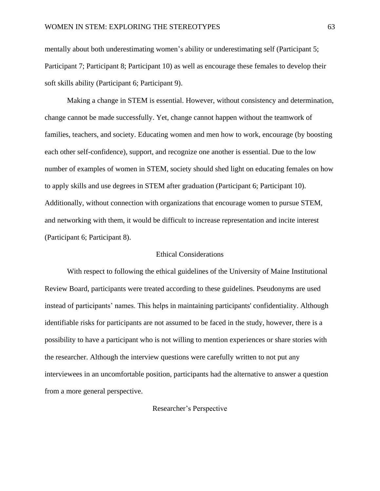mentally about both underestimating women's ability or underestimating self (Participant 5; Participant 7; Participant 8; Participant 10) as well as encourage these females to develop their soft skills ability (Participant 6; Participant 9).

Making a change in STEM is essential. However, without consistency and determination, change cannot be made successfully. Yet, change cannot happen without the teamwork of families, teachers, and society. Educating women and men how to work, encourage (by boosting each other self-confidence), support, and recognize one another is essential. Due to the low number of examples of women in STEM, society should shed light on educating females on how to apply skills and use degrees in STEM after graduation (Participant 6; Participant 10). Additionally, without connection with organizations that encourage women to pursue STEM, and networking with them, it would be difficult to increase representation and incite interest (Participant 6; Participant 8).

## Ethical Considerations

With respect to following the ethical guidelines of the University of Maine Institutional Review Board, participants were treated according to these guidelines. Pseudonyms are used instead of participants' names. This helps in maintaining participants' confidentiality. Although identifiable risks for participants are not assumed to be faced in the study, however, there is a possibility to have a participant who is not willing to mention experiences or share stories with the researcher. Although the interview questions were carefully written to not put any interviewees in an uncomfortable position, participants had the alternative to answer a question from a more general perspective.

## Researcher's Perspective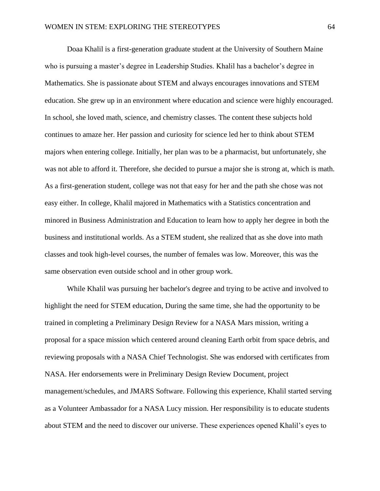Doaa Khalil is a first-generation graduate student at the University of Southern Maine who is pursuing a master's degree in Leadership Studies. Khalil has a bachelor's degree in Mathematics. She is passionate about STEM and always encourages innovations and STEM education. She grew up in an environment where education and science were highly encouraged. In school, she loved math, science, and chemistry classes. The content these subjects hold continues to amaze her. Her passion and curiosity for science led her to think about STEM majors when entering college. Initially, her plan was to be a pharmacist, but unfortunately, she was not able to afford it. Therefore, she decided to pursue a major she is strong at, which is math. As a first-generation student, college was not that easy for her and the path she chose was not easy either. In college, Khalil majored in Mathematics with a Statistics concentration and minored in Business Administration and Education to learn how to apply her degree in both the business and institutional worlds. As a STEM student, she realized that as she dove into math classes and took high-level courses, the number of females was low. Moreover, this was the same observation even outside school and in other group work.

While Khalil was pursuing her bachelor's degree and trying to be active and involved to highlight the need for STEM education, During the same time, she had the opportunity to be trained in completing a Preliminary Design Review for a NASA Mars mission, writing a proposal for a space mission which centered around cleaning Earth orbit from space debris, and reviewing proposals with a NASA Chief Technologist. She was endorsed with certificates from NASA. Her endorsements were in Preliminary Design Review Document, project management/schedules, and JMARS Software. Following this experience, Khalil started serving as a Volunteer Ambassador for a NASA Lucy mission. Her responsibility is to educate students about STEM and the need to discover our universe. These experiences opened Khalil's eyes to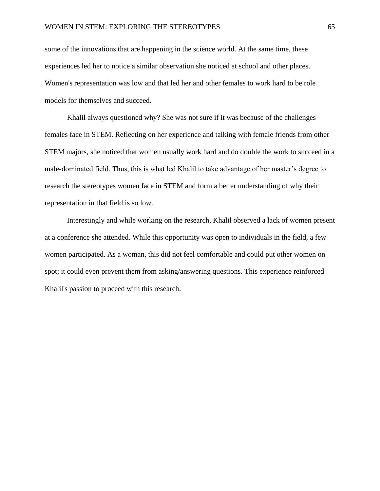some of the innovations that are happening in the science world. At the same time, these experiences led her to notice a similar observation she noticed at school and other places. Women's representation was low and that led her and other females to work hard to be role models for themselves and succeed.

Khalil always questioned why? She was not sure if it was because of the challenges females face in STEM. Reflecting on her experience and talking with female friends from other STEM majors, she noticed that women usually work hard and do double the work to succeed in a male-dominated field. Thus, this is what led Khalil to take advantage of her master's degree to research the stereotypes women face in STEM and form a better understanding of why their representation in that field is so low.

Interestingly and while working on the research, Khalil observed a lack of women present at a conference she attended. While this opportunity was open to individuals in the field, a few women participated. As a woman, this did not feel comfortable and could put other women on spot; it could even prevent them from asking/answering questions. This experience reinforced Khalil's passion to proceed with this research.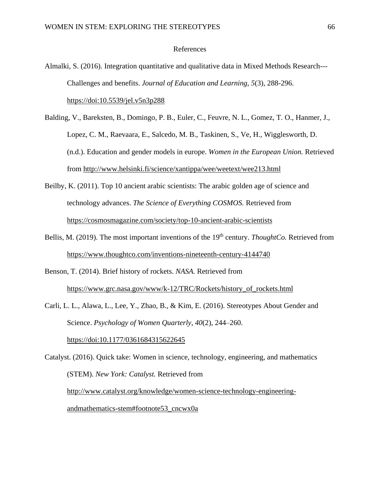### References

Almalki, S. (2016). Integration quantitative and qualitative data in Mixed Methods Research--- Challenges and benefits. *Journal of Education and Learning, 5*(3), 288-296. [https://doi:10.5539/jel.v5n3p288](about:blank)

- Balding, V., Bareksten, B., Domingo, P. B., Euler, C., Feuvre, N. L., Gomez, T. O., Hanmer, J., Lopez, C. M., Raevaara, E., Salcedo, M. B., Taskinen, S., Ve, H., Wigglesworth, D. (n.d.). Education and gender models in europe. *Women in the European Union.* Retrieved from<http://www.helsinki.fi/science/xantippa/wee/weetext/wee213.html>
- Beilby, K. (2011). Top 10 ancient arabic scientists: The arabic golden age of science and technology advances. *The Science of Everything COSMOS.* Retrieved from <https://cosmosmagazine.com/society/top-10-ancient-arabic-scientists>
- Bellis, M. (2019). The most important inventions of the 19<sup>th</sup> century. *ThoughtCo.* Retrieved from <https://www.thoughtco.com/inventions-nineteenth-century-4144740>
- Benson, T. (2014). Brief history of rockets. *NASA.* Retrieved from [https://www.grc.nasa.gov/www/k-12/TRC/Rockets/history\\_of\\_rockets.html](https://www.grc.nasa.gov/www/k-12/TRC/Rockets/history_of_rockets.html)
- Carli, L. L., Alawa, L., Lee, Y., Zhao, B., & Kim, E. (2016). Stereotypes About Gender and Science. *Psychology of Women Quarterly*, *40*(2), 244–260. [https://doi:10.1177/0361684315622645](about:blank)

Catalyst. (2016). Quick take: Women in science, technology, engineering, and mathematics (STEM). *New York: Catalyst.* Retrieved from [http://www.catalyst.org/knowledge/women-science-technology-engineering](http://www.catalyst.org/knowledge/women-science-technology-engineering-andmathematics-stem#footnote53_cncwx0a)[andmathematics-stem#footnote53\\_cncwx0a](http://www.catalyst.org/knowledge/women-science-technology-engineering-andmathematics-stem#footnote53_cncwx0a)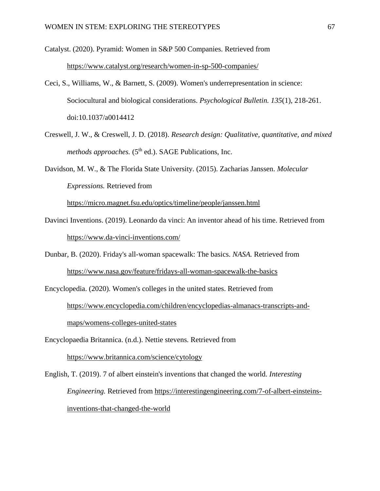Catalyst. (2020). Pyramid: Women in S&P 500 Companies. Retrieved from <https://www.catalyst.org/research/women-in-sp-500-companies/>

- Ceci, S., Williams, W., & Barnett, S. (2009). Women's underrepresentation in science: Sociocultural and biological considerations. *Psychological Bulletin. 135*(1), 218-261. doi[:10.1037/a0014412](https://www.researchgate.net/deref/http%3A%2F%2Fdx.doi.org%2F10.1037%2Fa0014412)
- Creswell, J. W., & Creswell, J. D. (2018). *Research design: Qualitative, quantitative, and mixed methods approaches.* (5<sup>th</sup> ed.). SAGE Publications, Inc.
- Davidson, M. W., & The Florida State University. (2015). Zacharias Janssen. *Molecular Expressions.* Retrieved from

<https://micro.magnet.fsu.edu/optics/timeline/people/janssen.html>

- Davinci Inventions. (2019). Leonardo da vinci: An inventor ahead of his time. Retrieved from <https://www.da-vinci-inventions.com/>
- Dunbar, B. (2020). Friday's all-woman spacewalk: The basics. *NASA.* Retrieved from <https://www.nasa.gov/feature/fridays-all-woman-spacewalk-the-basics>
- Encyclopedia. (2020). Women's colleges in the united states. Retrieved from [https://www.encyclopedia.com/children/encyclopedias-almanacs-transcripts-and](https://www.encyclopedia.com/children/encyclopedias-almanacs-transcripts-and-maps/womens-colleges-united-states)[maps/womens-colleges-united-states](https://www.encyclopedia.com/children/encyclopedias-almanacs-transcripts-and-maps/womens-colleges-united-states)
- Encyclopaedia Britannica. (n.d.). Nettie stevens. Retrieved from <https://www.britannica.com/science/cytology>
- English, T. (2019). 7 of albert einstein's inventions that changed the world. *Interesting Engineering.* Retrieved from [https://interestingengineering.com/7-of-albert-einsteins](https://interestingengineering.com/7-of-albert-einsteins-inventions-that-changed-the-world)[inventions-that-changed-the-world](https://interestingengineering.com/7-of-albert-einsteins-inventions-that-changed-the-world)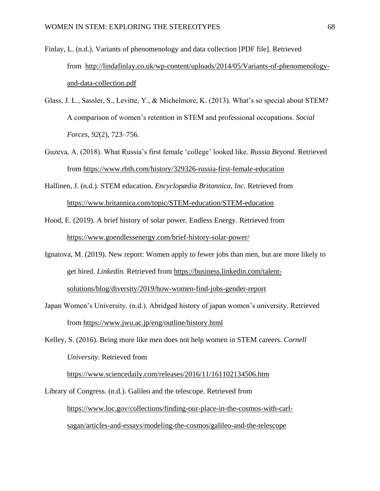- Finlay, L. (n.d.). Variants of phenomenology and data collection [PDF file]. Retrieved from [http://lindafinlay.co.uk/wp-content/uploads/2014/05/Variants-of-phenomenology](http://lindafinlay.co.uk/wp-content/uploads/2014/05/Variants-of-phenomenology-and-data-collection.pdf)[and-data-collection.pdf](http://lindafinlay.co.uk/wp-content/uploads/2014/05/Variants-of-phenomenology-and-data-collection.pdf)
- Glass, J. L., Sassler, S., Levitte, Y., & Michelmore, K. (2013). What's so special about STEM? A comparison of women's retention in STEM and professional occupations. *Social Forces*, *92*(2), 723–756.
- Guzeva, A. (2018). What Russia's first female 'college' looked like. *Russia Beyond.* Retrieved from<https://www.rbth.com/history/329326-russia-first-female-education>
- Hallinen, J. (n.d.). STEM education. *Encyclopædia Britannica, Inc.* Retrieved from <https://www.britannica.com/topic/STEM-education/STEM-education>
- Hood, E. (2019). A brief history of solar power. Endless Energy. Retrieved from <https://www.goendlessenergy.com/brief-history-solar-power/>
- Ignatova, M. (2019). New report: Women apply to fewer jobs than men, but are more likely to get hired. *Linkedin.* Retrieved from [https://business.linkedin.com/talent](https://business.linkedin.com/talent-solutions/blog/diversity/2019/how-women-find-jobs-gender-report)[solutions/blog/diversity/2019/how-women-find-jobs-gender-report](https://business.linkedin.com/talent-solutions/blog/diversity/2019/how-women-find-jobs-gender-report)
- Japan Women's University. (n.d.). Abridged history of japan women's university. Retrieved from<https://www.jwu.ac.jp/eng/outline/history.html>
- Kelley, S. (2016). Being more like men does not help women in STEM careers. *Cornell University*. Retrieved from

<https://www.sciencedaily.com/releases/2016/11/161102134506.htm>

Library of Congress. (n.d.). Galileo and the telescope. Retrieved from [https://www.loc.gov/collections/finding-our-place-in-the-cosmos-with-carl](https://www.loc.gov/collections/finding-our-place-in-the-cosmos-with-carl-sagan/articles-and-essays/modeling-the-cosmos/galileo-and-the-telescope)[sagan/articles-and-essays/modeling-the-cosmos/galileo-and-the-telescope](https://www.loc.gov/collections/finding-our-place-in-the-cosmos-with-carl-sagan/articles-and-essays/modeling-the-cosmos/galileo-and-the-telescope)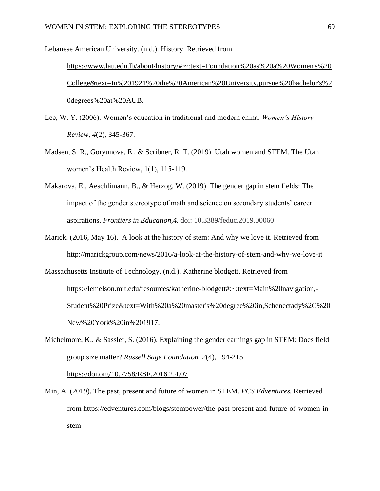Lebanese American University. (n.d.). History. Retrieved from [https://www.lau.edu.lb/about/history/#:~:text=Foundation%20as%20a%20Women's%20](https://www.lau.edu.lb/about/history/#:~:text=Foundation%20as%20a%20Women) [College&text=In%201921%20the%20American%20University,pursue%20bachelor's%2](https://www.lau.edu.lb/about/history/#:~:text=Foundation%20as%20a%20Women) [0degrees%20at%20AUB.](https://www.lau.edu.lb/about/history/#:~:text=Foundation%20as%20a%20Women)

- Lee, W. Y. (2006). Women's education in traditional and modern china. *Women's History Review, 4*(2), 345-367.
- Madsen, S. R., Goryunova, E., & Scribner, R. T. (2019). Utah women and STEM. The Utah women's Health Review, 1(1), 115-119.
- Makarova, E., Aeschlimann, B., & Herzog, W. (2019). The gender gap in stem fields: The impact of the gender stereotype of math and science on secondary students' career aspirations. *Frontiers in Education,4.* doi: 10.3389/feduc.2019.00060
- Marick. (2016, May 16). A look at the history of stem: And why we love it. Retrieved from <http://marickgroup.com/news/2016/a-look-at-the-history-of-stem-and-why-we-love-it>

Massachusetts Institute of Technology. (n.d.). Katherine blodgett. Retrieved from [https://lemelson.mit.edu/resources/katherine-blodgett#:~:text=Main%20navigation,-](https://lemelson.mit.edu/resources/katherine-blodgett#:~:text=Main%20navigation,-Student%20Prize&text=With%20a%20master) [Student%20Prize&text=With%20a%20master's%20degree%20in,Schenectady%2C%20](https://lemelson.mit.edu/resources/katherine-blodgett#:~:text=Main%20navigation,-Student%20Prize&text=With%20a%20master) [New%20York%20in%201917.](https://lemelson.mit.edu/resources/katherine-blodgett#:~:text=Main%20navigation,-Student%20Prize&text=With%20a%20master)

Michelmore, K., & Sassler, S. (2016). Explaining the gender earnings gap in STEM: Does field group size matter? *Russell Sage Foundation. 2*(4), 194-215. <https://doi.org/10.7758/RSF.2016.2.4.07>

Min, A. (2019). The past, present and future of women in STEM. *PCS Edventures.* Retrieved from [https://edventures.com/blogs/stempower/the-past-present-and-future-of-women-in](https://edventures.com/blogs/stempower/the-past-present-and-future-of-women-in-stem)[stem](https://edventures.com/blogs/stempower/the-past-present-and-future-of-women-in-stem)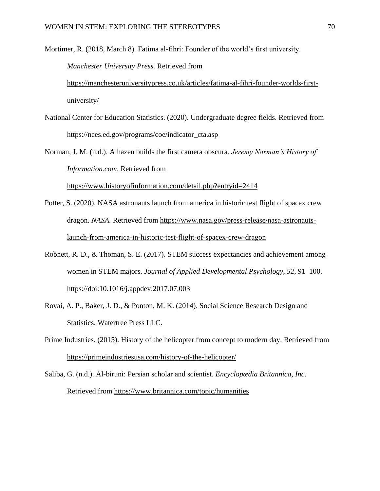Mortimer, R. (2018, March 8). Fatima al-fihri: Founder of the world's first university. *Manchester University Press.* Retrieved from [https://manchesteruniversitypress.co.uk/articles/fatima-al-fihri-founder-worlds-first](https://manchesteruniversitypress.co.uk/articles/fatima-al-fihri-founder-worlds-first-university/)[university/](https://manchesteruniversitypress.co.uk/articles/fatima-al-fihri-founder-worlds-first-university/)

National Center for Education Statistics. (2020). Undergraduate degree fields. Retrieved from [https://nces.ed.gov/programs/coe/indicator\\_cta.asp](https://nces.ed.gov/programs/coe/indicator_cta.asp)

Norman, J. M. (n.d.). Alhazen builds the first camera obscura. *Jeremy Norman's History of Information.com*. Retrieved from

<https://www.historyofinformation.com/detail.php?entryid=2414>

- Potter, S. (2020). NASA astronauts launch from america in historic test flight of spacex crew dragon. *NASA.* Retrieved from [https://www.nasa.gov/press-release/nasa-astronauts](https://www.nasa.gov/press-release/nasa-astronauts-launch-from-america-in-historic-test-flight-of-spacex-crew-dragon)[launch-from-america-in-historic-test-flight-of-spacex-crew-dragon](https://www.nasa.gov/press-release/nasa-astronauts-launch-from-america-in-historic-test-flight-of-spacex-crew-dragon)
- Robnett, R. D., & Thoman, S. E. (2017). STEM success expectancies and achievement among women in STEM majors. *Journal of Applied Developmental Psychology*, *52*, 91–100. [https://doi:10.1016/j.appdev.2017.07.003](about:blank)
- Rovai, A. P., Baker, J. D., & Ponton, M. K. (2014). Social Science Research Design and Statistics. Watertree Press LLC.
- Prime Industries. (2015). History of the helicopter from concept to modern day. Retrieved from <https://primeindustriesusa.com/history-of-the-helicopter/>
- Saliba, G. (n.d.). Al-biruni: Persian scholar and scientist. *Encyclopædia Britannica, Inc.*  Retrieved from<https://www.britannica.com/topic/humanities>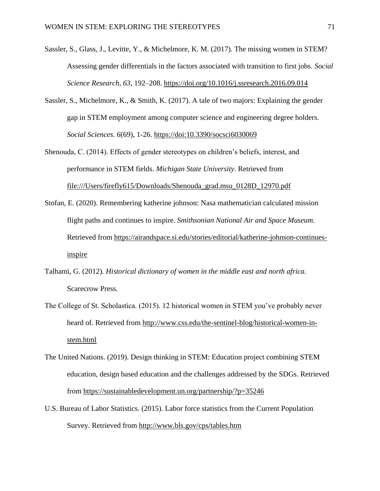- Sassler, S., Glass, J., Levitte, Y., & Michelmore, K. M. (2017). The missing women in STEM? Assessing gender differentials in the factors associated with transition to first jobs. *Social Science Research*, *63*, 192–208.<https://doi.org/10.1016/j.ssresearch.2016.09.014>
- Sassler, S., Michelmore, K., & Smith, K. (2017). A tale of two majors: Explaining the gender gap in STEM employment among computer science and engineering degree holders. *Social Sciences. 6*(69), 1-26. [https://doi:10.3390/socsci6030069](about:blank)
- Shenouda, C. (2014). Effects of gender stereotypes on children's beliefs, interest, and performance in STEM fields. *Michigan State University*. Retrieved from [file:///Users/firefly615/Downloads/Shenouda\\_grad.msu\\_0128D\\_12970.pdf](about:blank)
- Stofan, E. (2020). Remembering katherine johnson: Nasa mathematician calculated mission flight paths and continues to inspire. *Smithsonian National Air and Space Museum.*  Retrieved from [https://airandspace.si.edu/stories/editorial/katherine-johnson-continues](https://airandspace.si.edu/stories/editorial/katherine-johnson-continues-inspire)[inspire](https://airandspace.si.edu/stories/editorial/katherine-johnson-continues-inspire)
- Talhami, G. (2012)*. Historical dictionary of women in the middle east and north africa.*  Scarecrow Press.
- The College of St. Scholastica. (2015). 12 historical women in STEM you've probably never heard of. Retrieved from [http://www.css.edu/the-sentinel-blog/historical-women-in](http://www.css.edu/the-sentinel-blog/historical-women-in-stem.html)[stem.html](http://www.css.edu/the-sentinel-blog/historical-women-in-stem.html)
- The United Nations. (2019). Design thinking in STEM: Education project combining STEM education, design based education and the challenges addressed by the SDGs. Retrieved from<https://sustainabledevelopment.un.org/partnership/?p=35246>
- U.S. Bureau of Labor Statistics. (2015). Labor force statistics from the Current Population Survey. Retrieved from<http://www.bls.gov/cps/tables.htm>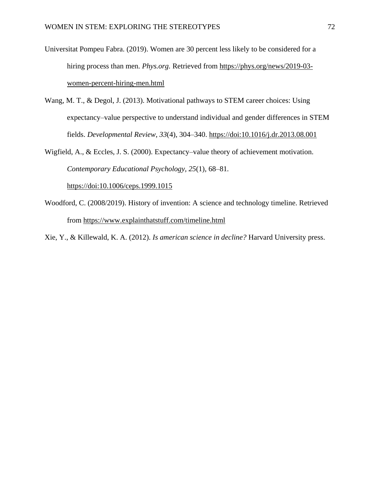- Universitat Pompeu Fabra. (2019). Women are 30 percent less likely to be considered for a hiring process than men. *Phys.org.* Retrieved from [https://phys.org/news/2019-03](https://phys.org/news/2019-03-women-percent-hiring-men.html) [women-percent-hiring-men.html](https://phys.org/news/2019-03-women-percent-hiring-men.html)
- Wang, M. T., & Degol, J. (2013). Motivational pathways to STEM career choices: Using expectancy–value perspective to understand individual and gender differences in STEM fields. *Developmental Review*, *33*(4), 304–340. [https://doi:10.1016/j.dr.2013.08.001](about:blank)
- Wigfield, A., & Eccles, J. S. (2000). Expectancy–value theory of achievement motivation. *Contemporary Educational Psychology, 25*(1)*,* 68–81*.*

[https://doi:10.1006/ceps.1999.1015](about:blank)

Woodford, C. (2008/2019). History of invention: A science and technology timeline. Retrieved from<https://www.explainthatstuff.com/timeline.html>

Xie, Y., & Killewald, K. A. (2012). *Is american science in decline?* Harvard University press.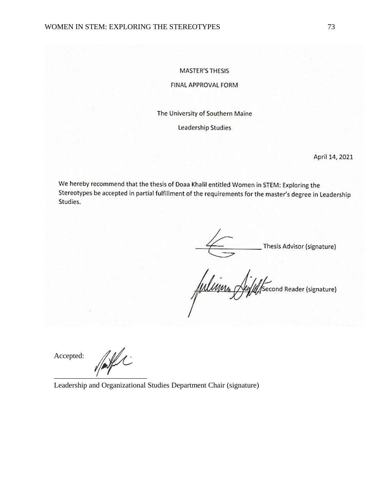#### **MASTER'S THESIS**

#### FINAL APPROVAL FORM

The University of Southern Maine

**Leadership Studies** 

April 14, 2021

We hereby recommend that the thesis of Doaa Khalil entitled Women in STEM: Exploring the Stereotypes be accepted in partial fulfillment of the requirements for the master's degree in Leadership Studies.

\_Thesis Advisor (signature)

Wiliams Second Reader (signature)

Accepted:

 $\overline{\phantom{a}}$ 

Leadership and Organizational Studies Department Chair (signature)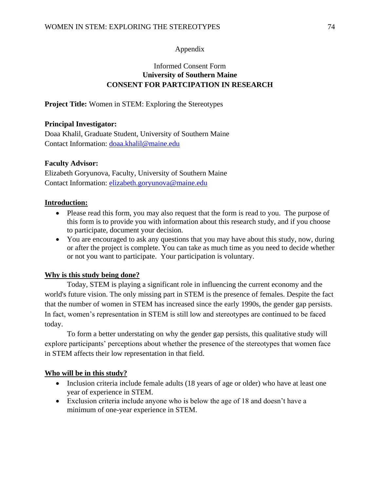## Appendix

# Informed Consent Form **University of Southern Maine CONSENT FOR PARTCIPATION IN RESEARCH**

**Project Title:** Women in STEM: Exploring the Stereotypes

## **Principal Investigator:**

Doaa Khalil, Graduate Student, University of Southern Maine Contact Information: [doaa.khalil@maine.edu](mailto:doaa.khalil@maine.edu)

## **Faculty Advisor:**

Elizabeth Goryunova, Faculty, University of Southern Maine Contact Information: [elizabeth.goryunova@maine.edu](mailto:elizabeth.goryunova@maine.edu)

## **Introduction:**

- Please read this form, you may also request that the form is read to you. The purpose of this form is to provide you with information about this research study, and if you choose to participate, document your decision.
- You are encouraged to ask any questions that you may have about this study, now, during or after the project is complete. You can take as much time as you need to decide whether or not you want to participate. Your participation is voluntary.

## **Why is this study being done?**

Today, STEM is playing a significant role in influencing the current economy and the world's future vision. The only missing part in STEM is the presence of females. Despite the fact that the number of women in STEM has increased since the early 1990s, the gender gap persists. In fact, women's representation in STEM is still low and stereotypes are continued to be faced today.

To form a better understating on why the gender gap persists, this qualitative study will explore participants' perceptions about whether the presence of the stereotypes that women face in STEM affects their low representation in that field.

## **Who will be in this study?**

- Inclusion criteria include female adults (18 years of age or older) who have at least one year of experience in STEM.
- Exclusion criteria include anyone who is below the age of 18 and doesn't have a minimum of one-year experience in STEM.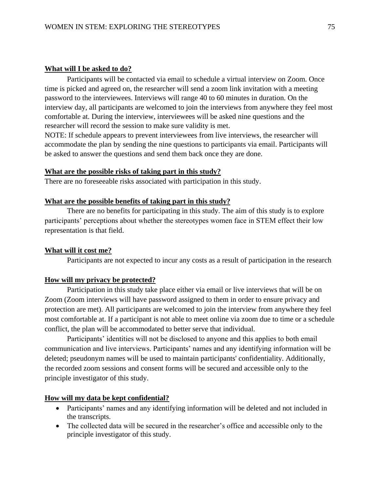### **What will I be asked to do?**

Participants will be contacted via email to schedule a virtual interview on Zoom. Once time is picked and agreed on, the researcher will send a zoom link invitation with a meeting password to the interviewees. Interviews will range 40 to 60 minutes in duration. On the interview day, all participants are welcomed to join the interviews from anywhere they feel most comfortable at. During the interview, interviewees will be asked nine questions and the researcher will record the session to make sure validity is met.

NOTE: If schedule appears to prevent interviewees from live interviews, the researcher will accommodate the plan by sending the nine questions to participants via email. Participants will be asked to answer the questions and send them back once they are done.

### **What are the possible risks of taking part in this study?**

There are no foreseeable risks associated with participation in this study.

### **What are the possible benefits of taking part in this study?**

There are no benefits for participating in this study. The aim of this study is to explore participants' perceptions about whether the stereotypes women face in STEM effect their low representation is that field.

### **What will it cost me?**

Participants are not expected to incur any costs as a result of participation in the research

### **How will my privacy be protected?**

Participation in this study take place either via email or live interviews that will be on Zoom (Zoom interviews will have password assigned to them in order to ensure privacy and protection are met). All participants are welcomed to join the interview from anywhere they feel most comfortable at. If a participant is not able to meet online via zoom due to time or a schedule conflict, the plan will be accommodated to better serve that individual.

Participants' identities will not be disclosed to anyone and this applies to both email communication and live interviews. Participants' names and any identifying information will be deleted; pseudonym names will be used to maintain participants' confidentiality. Additionally, the recorded zoom sessions and consent forms will be secured and accessible only to the principle investigator of this study.

#### **How will my data be kept confidential?**

- Participants' names and any identifying information will be deleted and not included in the transcripts.
- The collected data will be secured in the researcher's office and accessible only to the principle investigator of this study.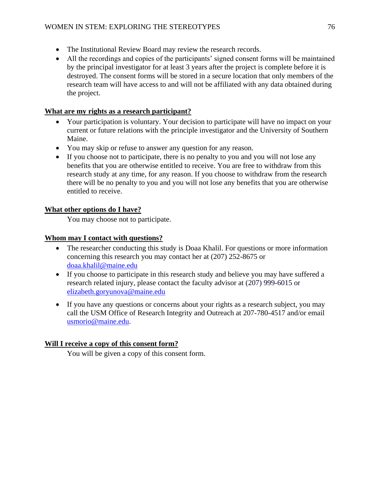- The Institutional Review Board may review the research records.
- All the recordings and copies of the participants' signed consent forms will be maintained by the principal investigator for at least 3 years after the project is complete before it is destroyed. The consent forms will be stored in a secure location that only members of the research team will have access to and will not be affiliated with any data obtained during the project.

# **What are my rights as a research participant?**

- Your participation is voluntary. Your decision to participate will have no impact on your current or future relations with the principle investigator and the University of Southern Maine.
- You may skip or refuse to answer any question for any reason.
- If you choose not to participate, there is no penalty to you and you will not lose any benefits that you are otherwise entitled to receive. You are free to withdraw from this research study at any time, for any reason. If you choose to withdraw from the research there will be no penalty to you and you will not lose any benefits that you are otherwise entitled to receive.

# **What other options do I have?**

You may choose not to participate.

# **Whom may I contact with questions?**

- The researcher conducting this study is Doaa Khalil. For questions or more information concerning this research you may contact her at (207) 252-8675 or [doaa.khalil@maine.edu](mailto:doaa.khalil@maine.edu)
- If you choose to participate in this research study and believe you may have suffered a research related injury, please contact the faculty advisor at (207) 999-6015 or [elizabeth.goryunova@maine.edu](mailto:elizabeth.goryunova@maine.edu)
- If you have any questions or concerns about your rights as a research subject, you may call the USM Office of Research Integrity and Outreach at 207-780-4517 and/or email [usmorio@maine.edu.](mailto:usmorio@maine.edu)

# **Will I receive a copy of this consent form?**

You will be given a copy of this consent form.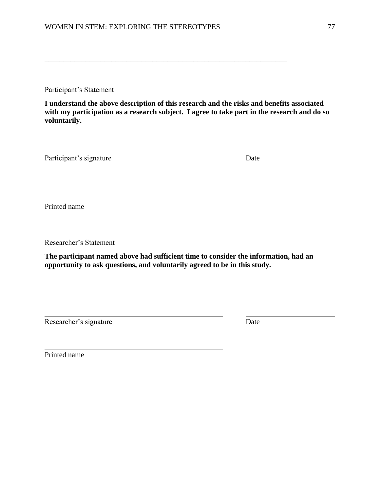Participant's Statement

**I understand the above description of this research and the risks and benefits associated with my participation as a research subject. I agree to take part in the research and do so voluntarily.**

\_\_\_\_\_\_\_\_\_\_\_\_\_\_\_\_\_\_\_\_\_\_\_\_\_\_\_\_\_\_\_\_\_\_\_\_\_\_\_\_\_\_\_\_\_\_\_\_\_\_\_\_\_\_\_\_\_\_\_\_\_\_\_\_\_

Participant's signature Date

Printed name

Researcher's Statement

**The participant named above had sufficient time to consider the information, had an opportunity to ask questions, and voluntarily agreed to be in this study.**

Researcher's signature Date

Printed name